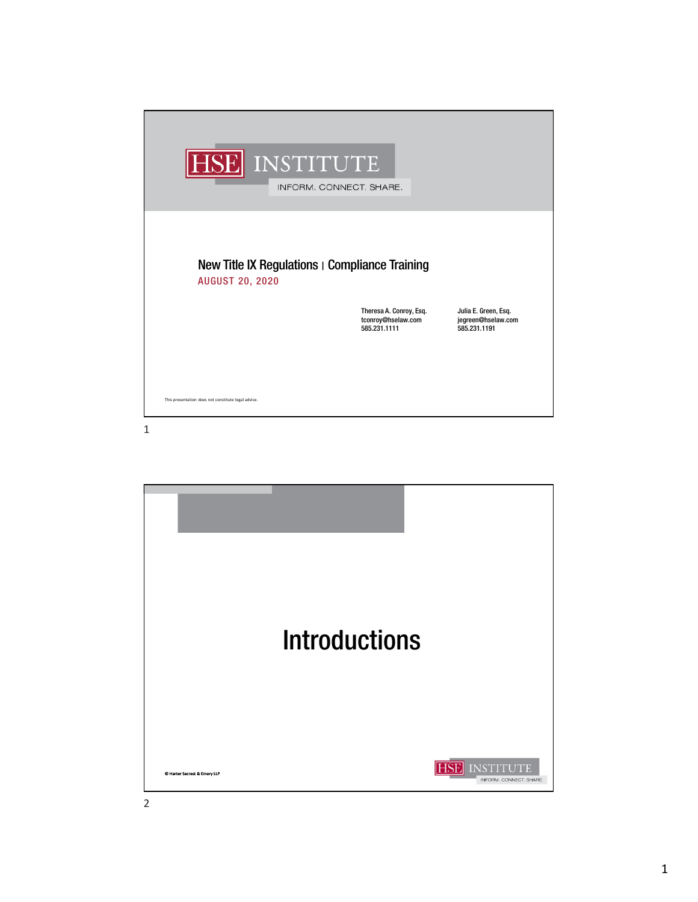| HSE INSTITUTE                                                            | INFORM. CONNECT. SHARE.                                       |                                                            |
|--------------------------------------------------------------------------|---------------------------------------------------------------|------------------------------------------------------------|
| New Title IX Regulations   Compliance Training<br><b>AUGUST 20, 2020</b> |                                                               |                                                            |
|                                                                          | Theresa A. Conroy, Esq.<br>tconroy@hselaw.com<br>585.231.1111 | Julia E. Green, Esq.<br>jegreen@hselaw.com<br>585.231.1191 |
|                                                                          |                                                               |                                                            |
|                                                                          |                                                               |                                                            |
| This presentation does not constitute legal advice.                      |                                                               |                                                            |
| 1                                                                        |                                                               |                                                            |

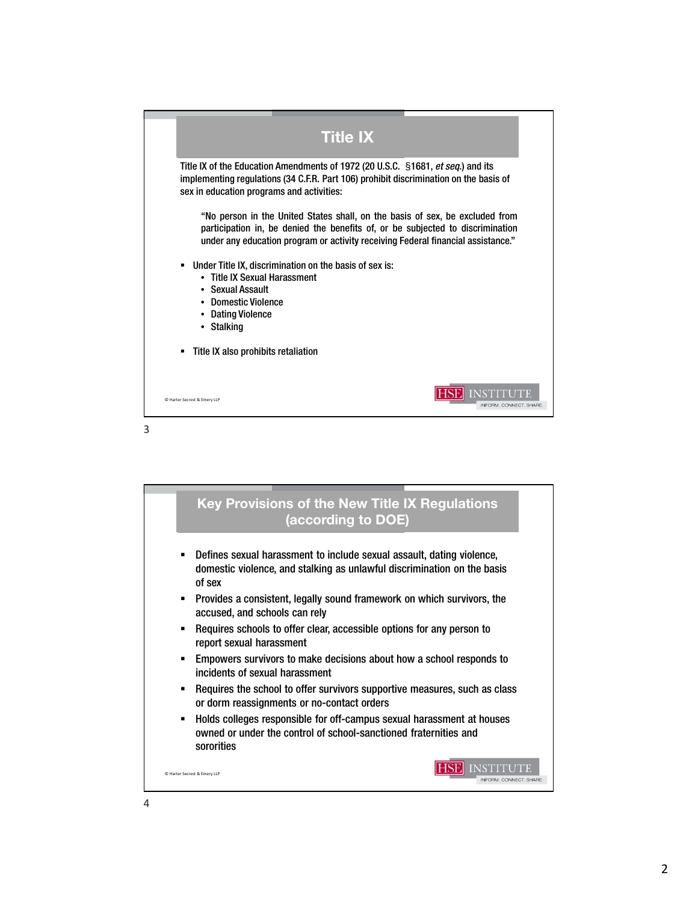

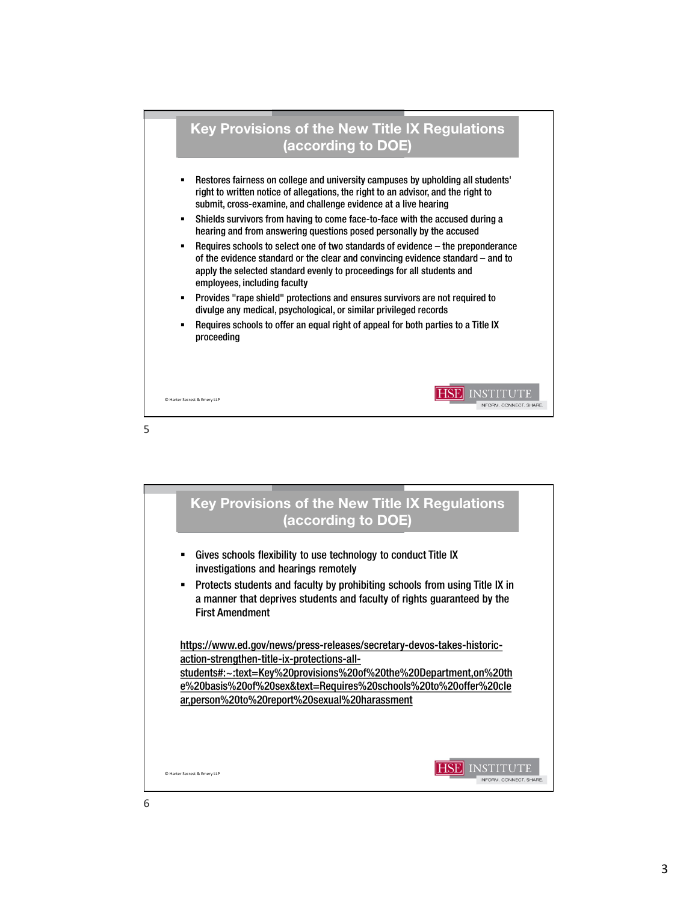

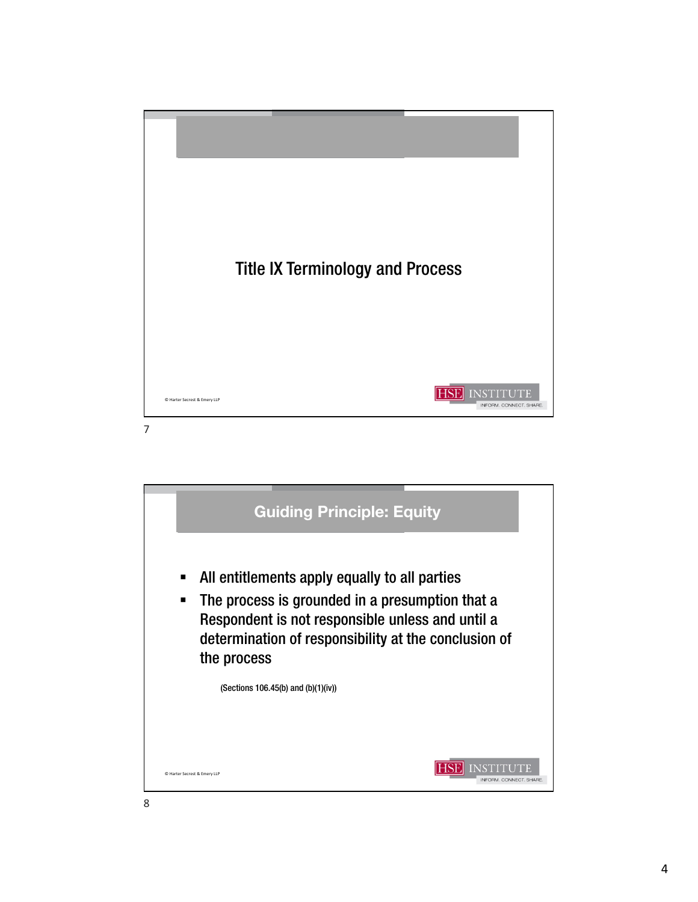

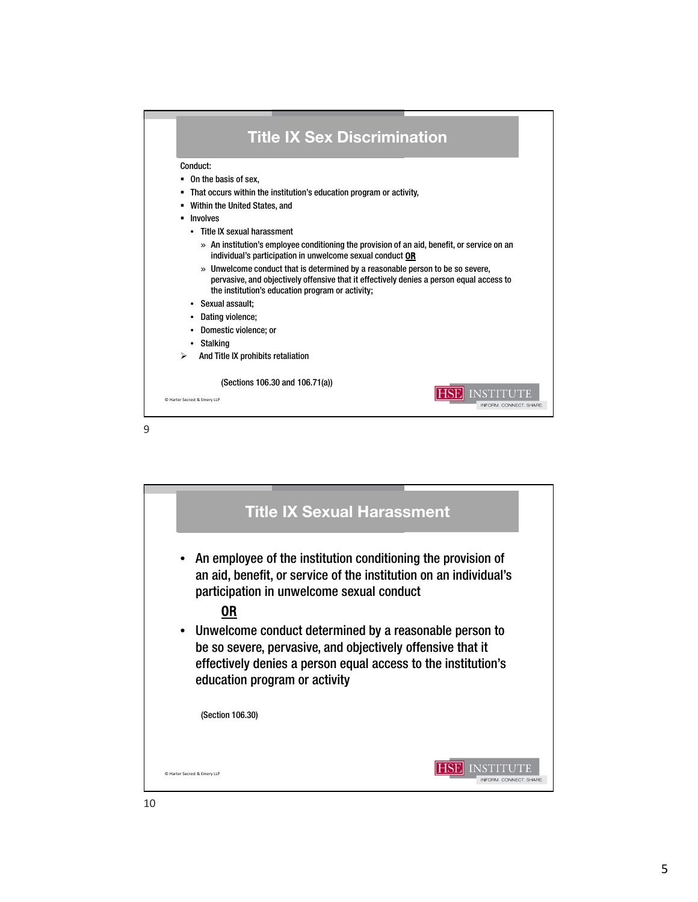

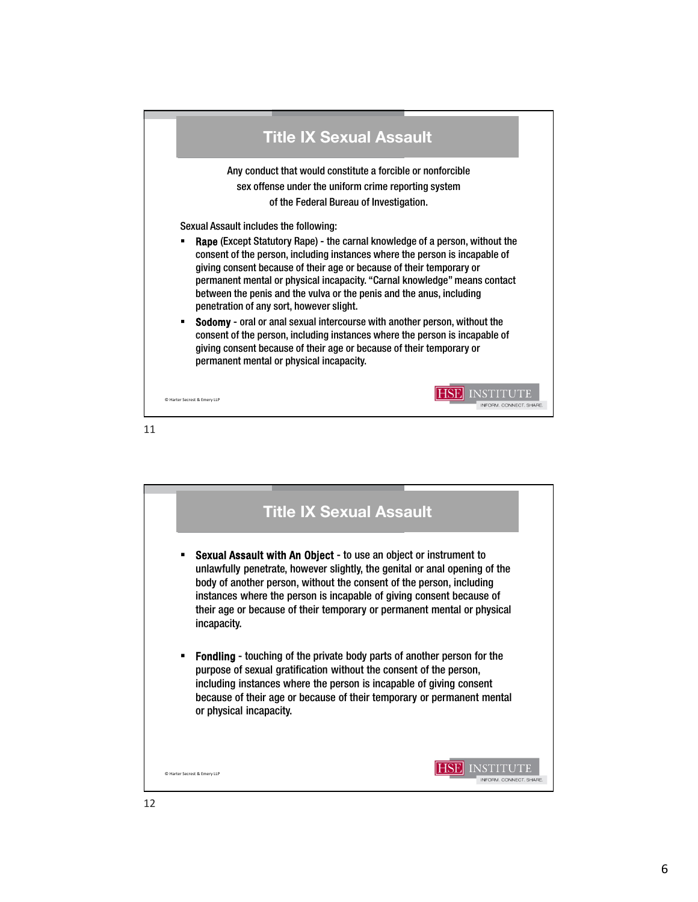

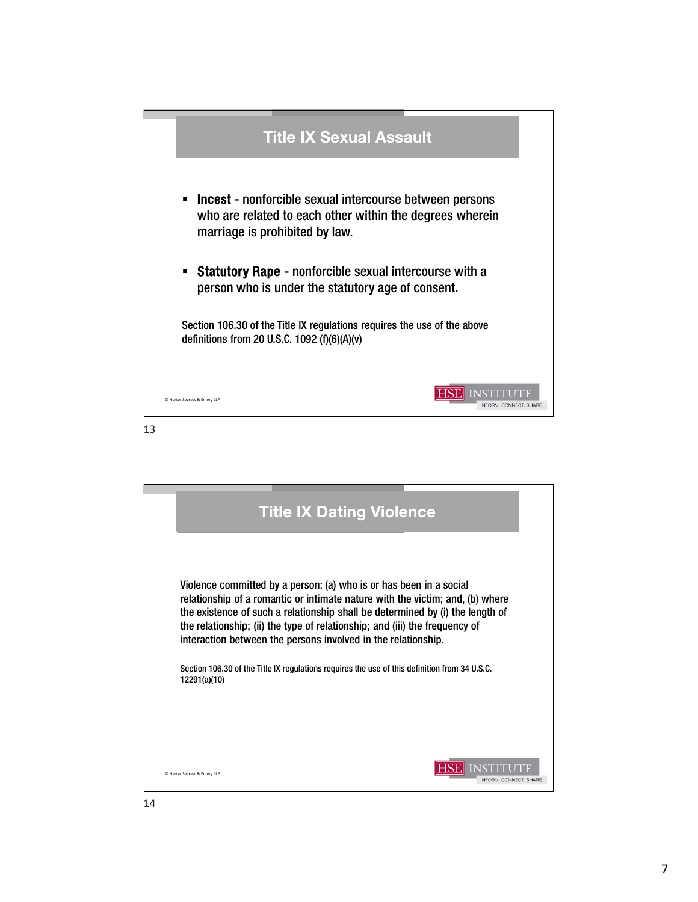

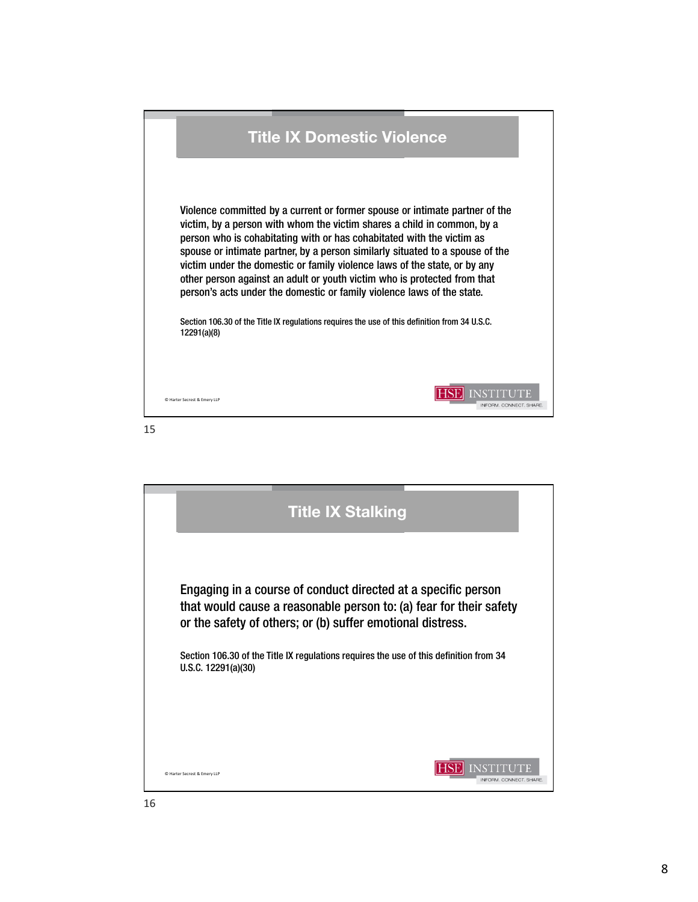

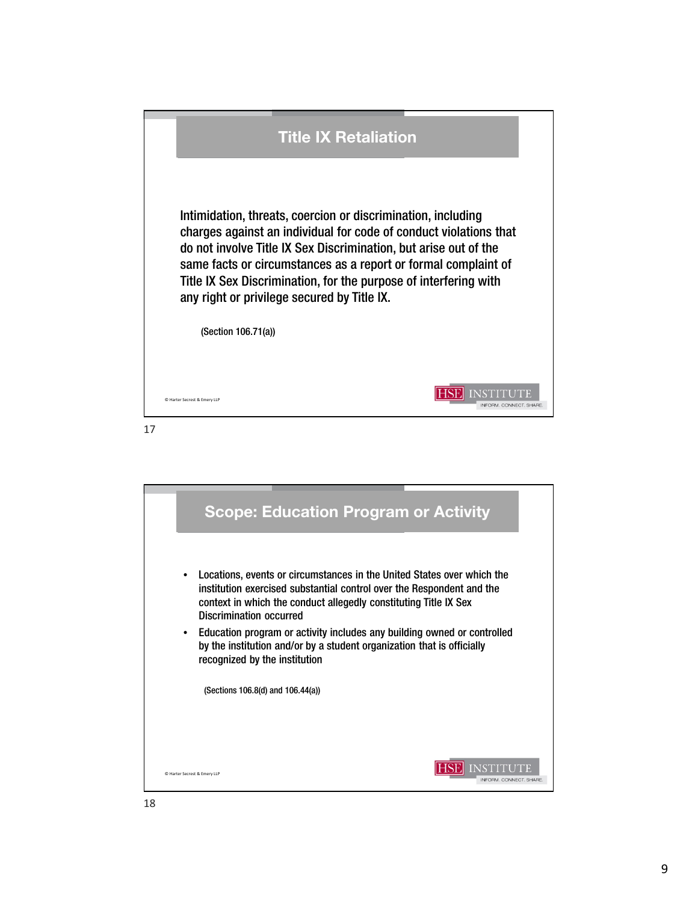

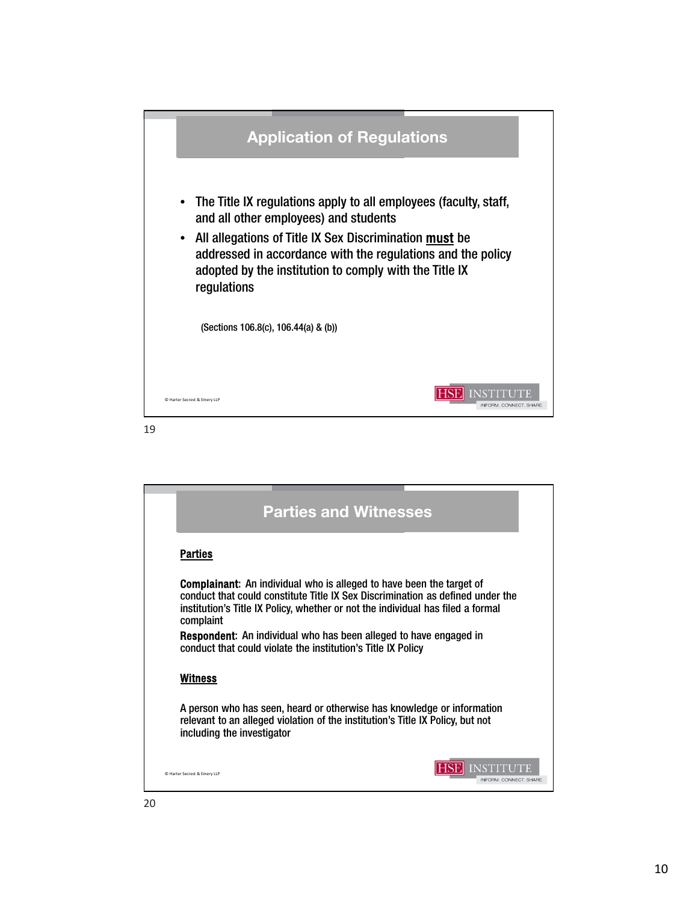

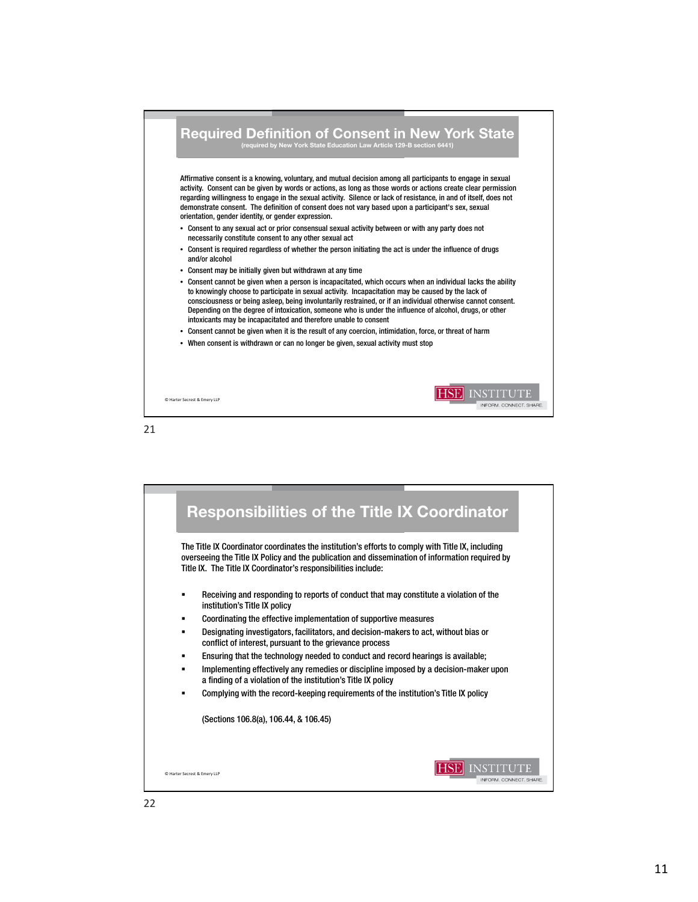



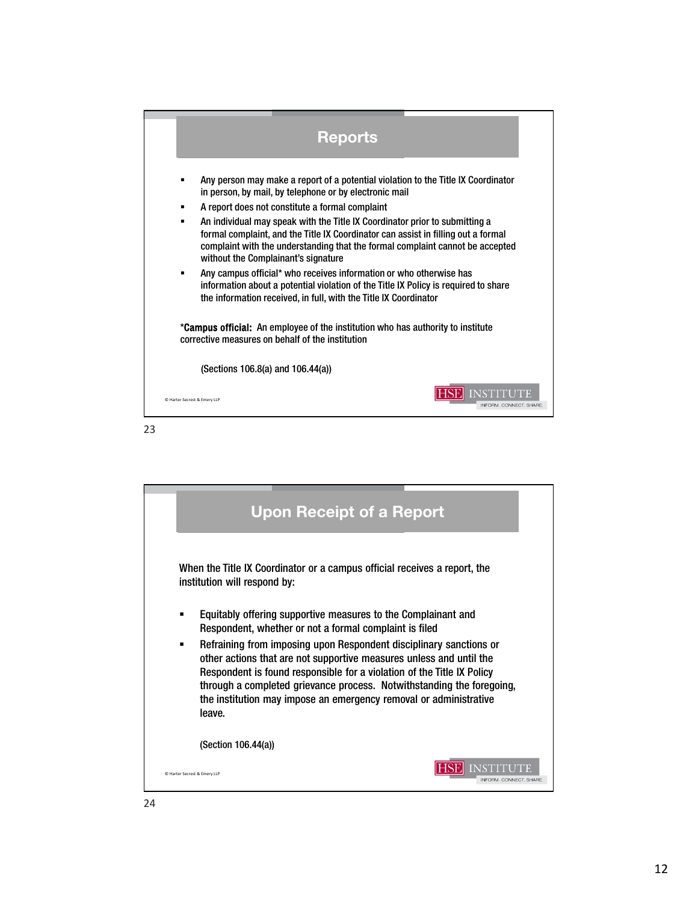| <b>Reports</b>                                                                                                                                                                                                                                                                                                                                                                                                                                                                          |
|-----------------------------------------------------------------------------------------------------------------------------------------------------------------------------------------------------------------------------------------------------------------------------------------------------------------------------------------------------------------------------------------------------------------------------------------------------------------------------------------|
| Any person may make a report of a potential violation to the Title IX Coordinator<br>in person, by mail, by telephone or by electronic mail<br>A report does not constitute a formal complaint<br>$\blacksquare$<br>An individual may speak with the Title IX Coordinator prior to submitting a<br>$\blacksquare$<br>formal complaint, and the Title IX Coordinator can assist in filling out a formal<br>complaint with the understanding that the formal complaint cannot be accepted |
| without the Complainant's signature<br>Any campus official* who receives information or who otherwise has<br>information about a potential violation of the Title IX Policy is required to share<br>the information received, in full, with the Title IX Coordinator                                                                                                                                                                                                                    |
| * <b>Campus official:</b> An employee of the institution who has authority to institute<br>corrective measures on behalf of the institution                                                                                                                                                                                                                                                                                                                                             |
| (Sections 106.8(a) and 106.44(a))                                                                                                                                                                                                                                                                                                                                                                                                                                                       |
| C Harter Secrest & Emery LLP<br>INFORM, CONNECT, SHARE                                                                                                                                                                                                                                                                                                                                                                                                                                  |

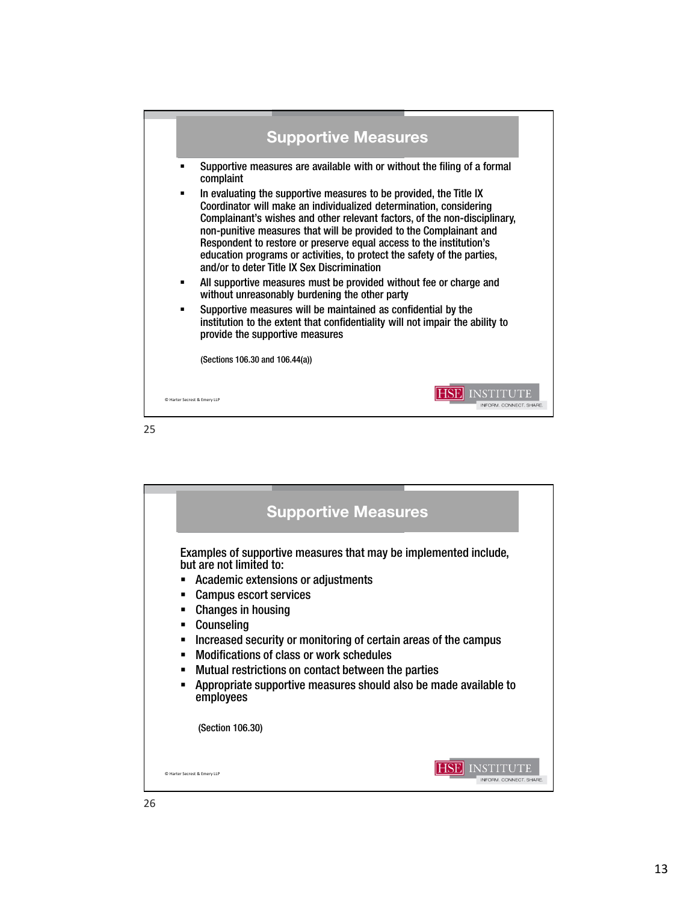

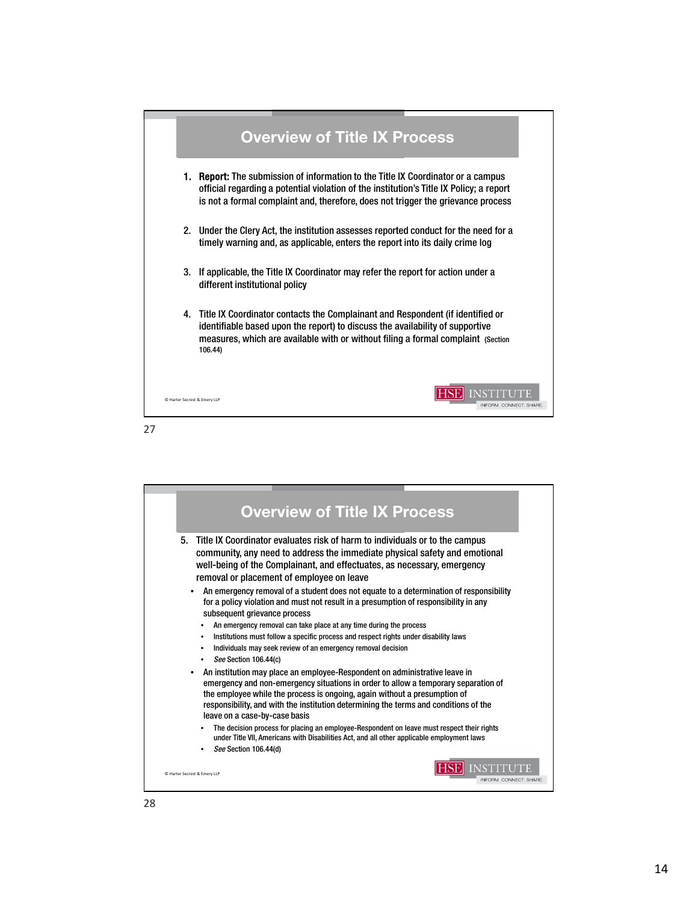

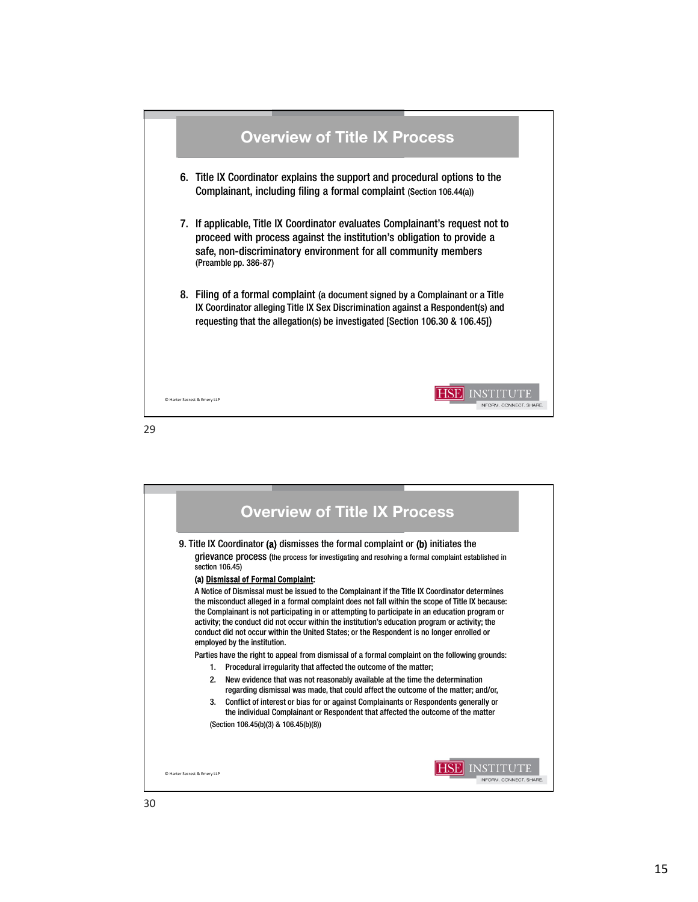

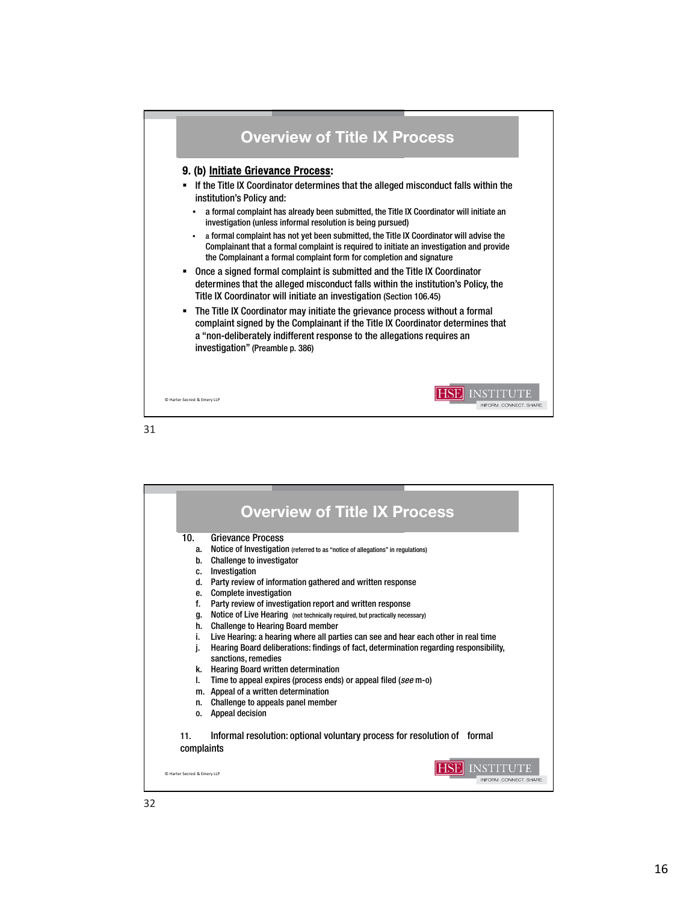

|                              | <b>Overview of Title IX Process</b>                                                                           |
|------------------------------|---------------------------------------------------------------------------------------------------------------|
| 10.                          | <b>Grievance Process</b>                                                                                      |
| a.                           | Notice of Investigation (referred to as "notice of allegations" in regulations)                               |
| h.                           | Challenge to investigator                                                                                     |
| C.                           | Investigation                                                                                                 |
| d.                           | Party review of information gathered and written response                                                     |
| e.                           | <b>Complete investigation</b>                                                                                 |
| f.                           | Party review of investigation report and written response                                                     |
| α.                           | Notice of Live Hearing (not technically required, but practically necessary)                                  |
| h.                           | <b>Challenge to Hearing Board member</b>                                                                      |
| i.                           | Live Hearing: a hearing where all parties can see and hear each other in real time                            |
| i.                           | Hearing Board deliberations: findings of fact, determination regarding responsibility,<br>sanctions, remedies |
| k.                           | <b>Hearing Board written determination</b>                                                                    |
| L                            | Time to appeal expires (process ends) or appeal filed (see m-o)                                               |
|                              | m. Appeal of a written determination                                                                          |
| n.                           | Challenge to appeals panel member                                                                             |
| 0.                           | Appeal decision                                                                                               |
| 11.<br>complaints            | Informal resolution: optional voluntary process for resolution of formal                                      |
| C Harter Secrest & Emery LLP | INFORM. CONNECT. SHARE.                                                                                       |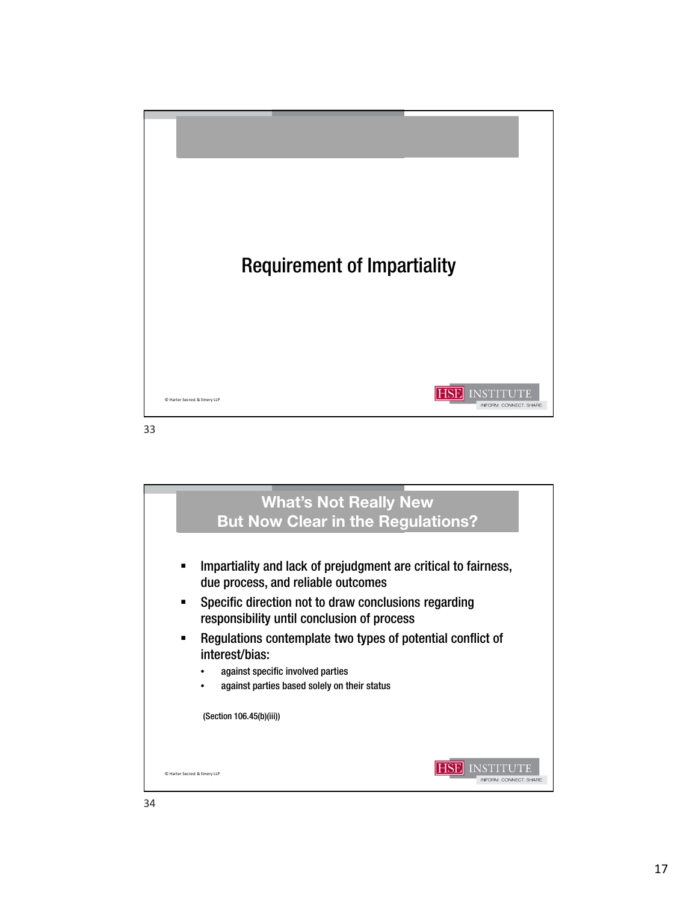

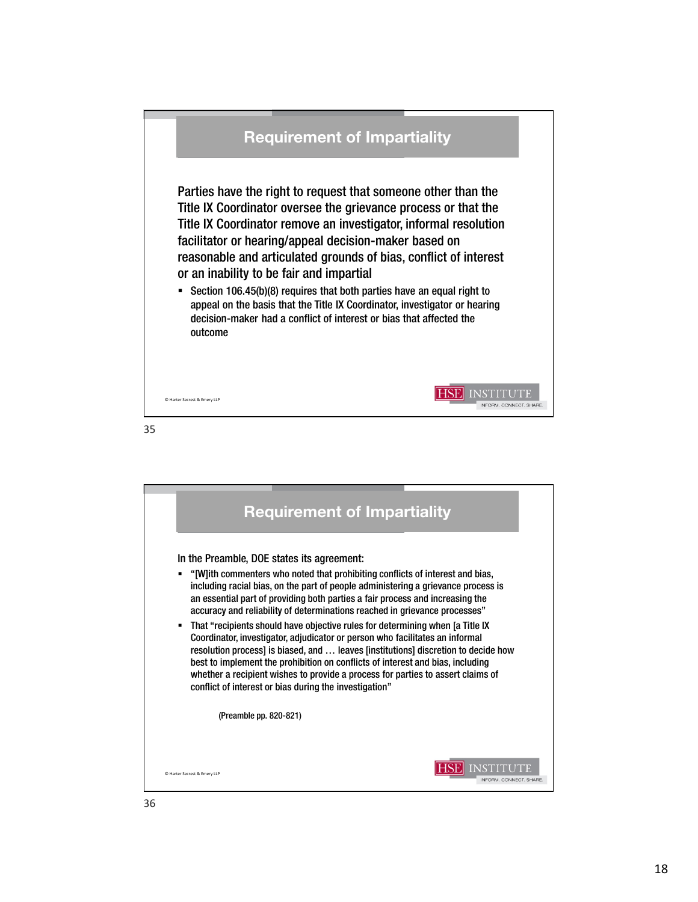

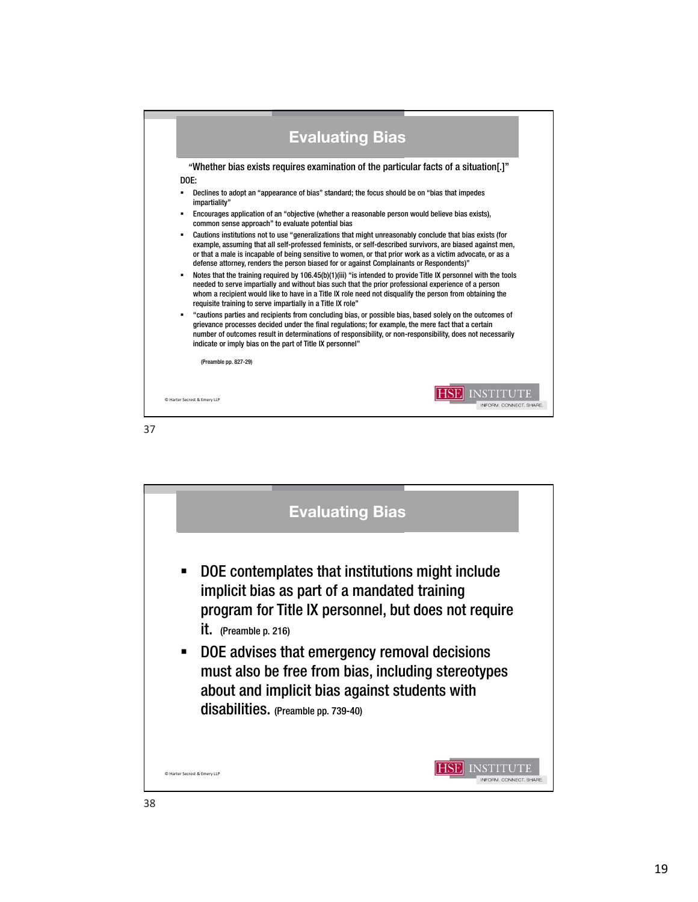

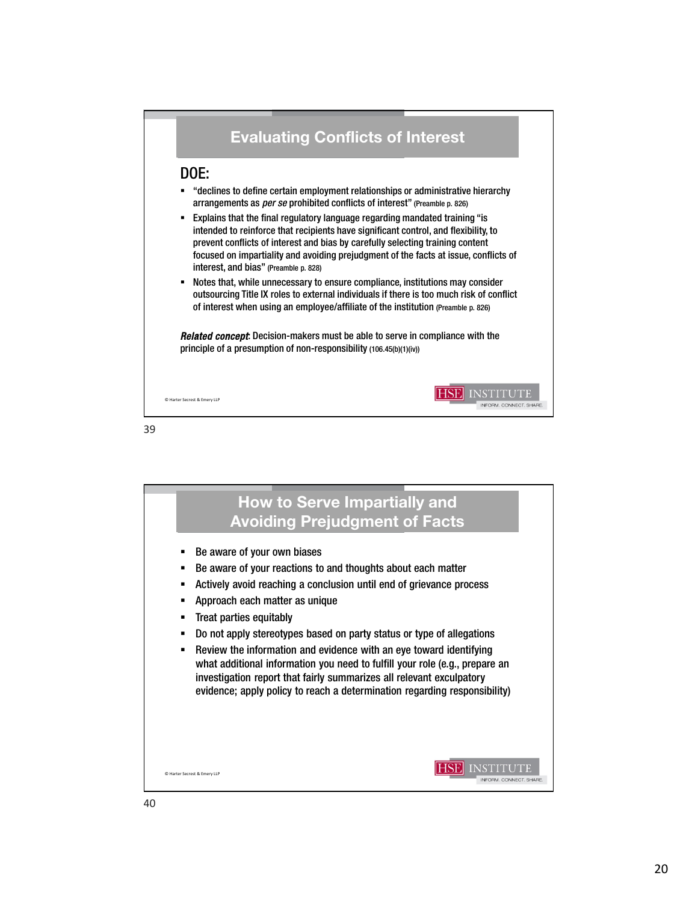

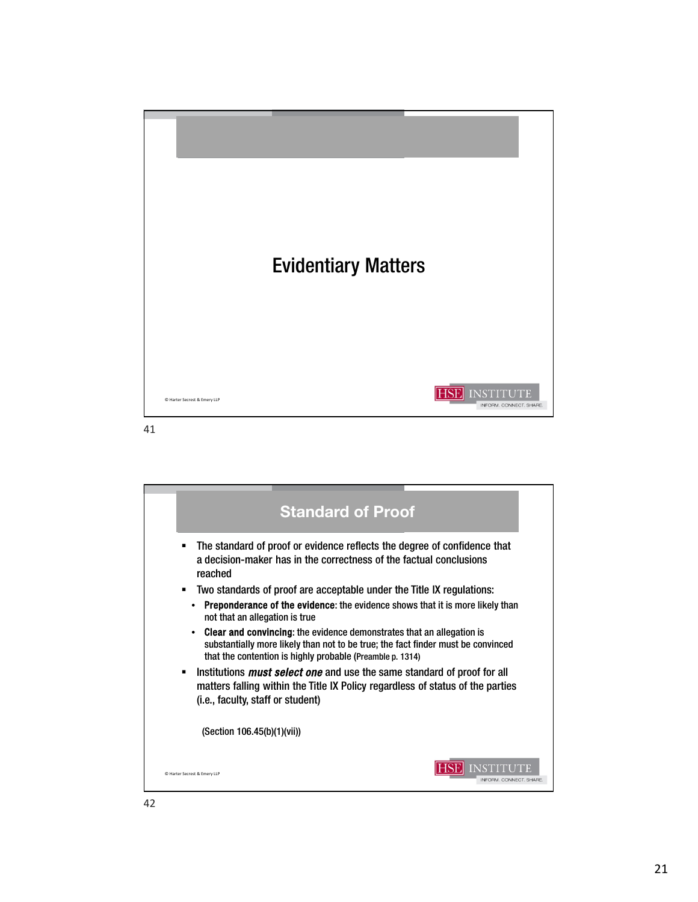

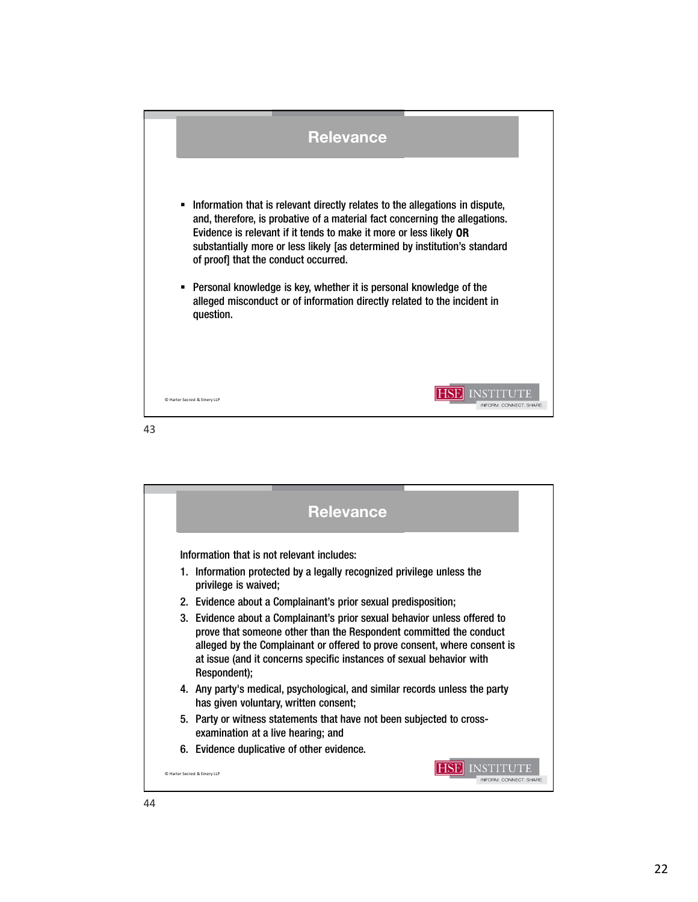

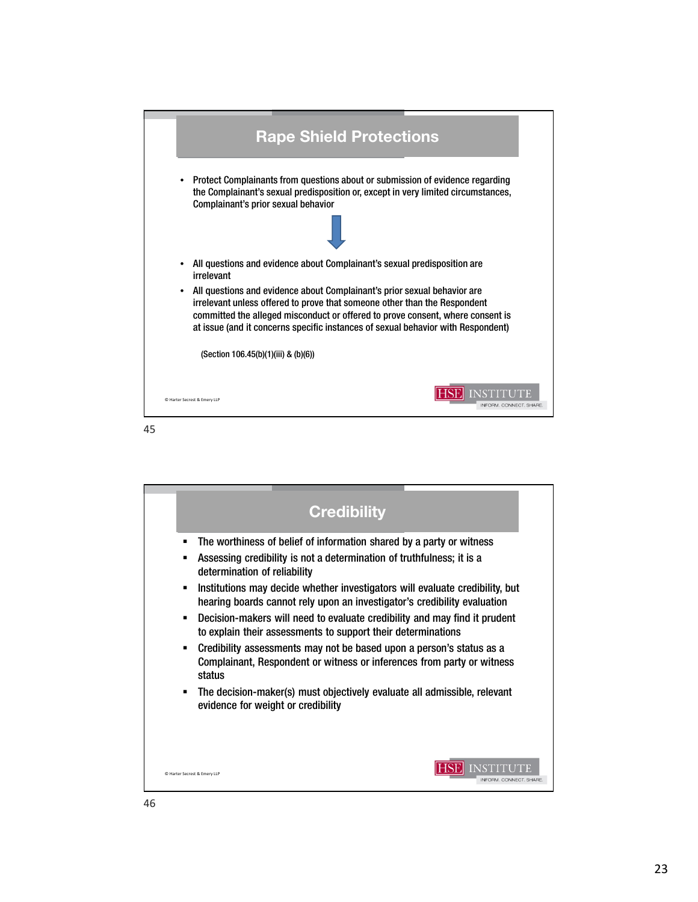

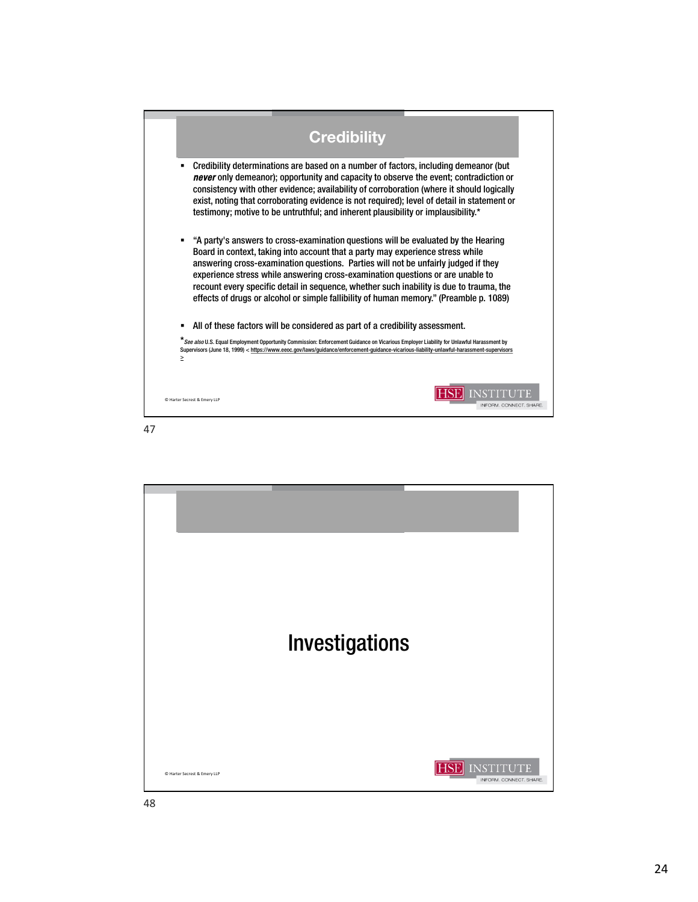| <b>Credibility</b>                                                                                                                                                                                                                                                                                                                                                                                                                                                                                                                     |
|----------------------------------------------------------------------------------------------------------------------------------------------------------------------------------------------------------------------------------------------------------------------------------------------------------------------------------------------------------------------------------------------------------------------------------------------------------------------------------------------------------------------------------------|
| Credibility determinations are based on a number of factors, including demeanor (but<br>٠<br>never only demeanor); opportunity and capacity to observe the event; contradiction or<br>consistency with other evidence; availability of corroboration (where it should logically<br>exist, noting that corroborating evidence is not required); level of detail in statement or<br>testimony; motive to be untruthful; and inherent plausibility or implausibility.*                                                                    |
| "A party's answers to cross-examination questions will be evaluated by the Hearing<br>п<br>Board in context, taking into account that a party may experience stress while<br>answering cross-examination questions. Parties will not be unfairly judged if they<br>experience stress while answering cross-examination questions or are unable to<br>recount every specific detail in sequence, whether such inability is due to trauma, the<br>effects of drugs or alcohol or simple fallibility of human memory." (Preamble p. 1089) |
| All of these factors will be considered as part of a credibility assessment.<br>п                                                                                                                                                                                                                                                                                                                                                                                                                                                      |
| * See also U.S. Equal Employment Opportunity Commission: Enforcement Guidance on Vicarious Employer Liability for Unlawful Harassment by<br>Supervisors (June 18, 1999) < https://www.eeoc.gov/laws/guidance/enforcement-guidance-vicarious-liability-unlawful-harassment-supervisors<br>≥                                                                                                                                                                                                                                             |
| C Harter Secrest & Emery LLP<br>INFORM, CONNECT, SHARE                                                                                                                                                                                                                                                                                                                                                                                                                                                                                 |

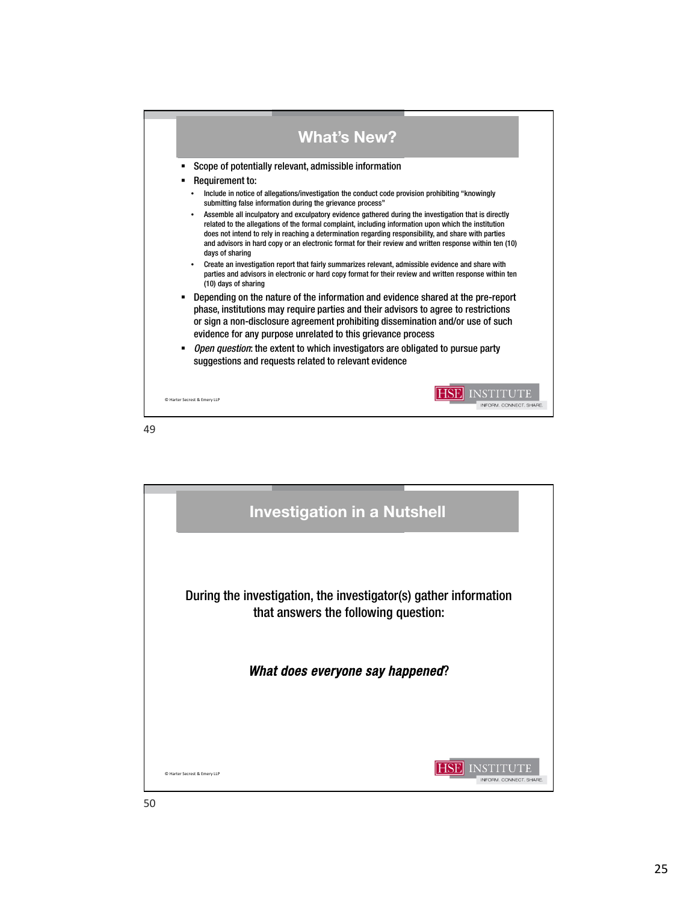

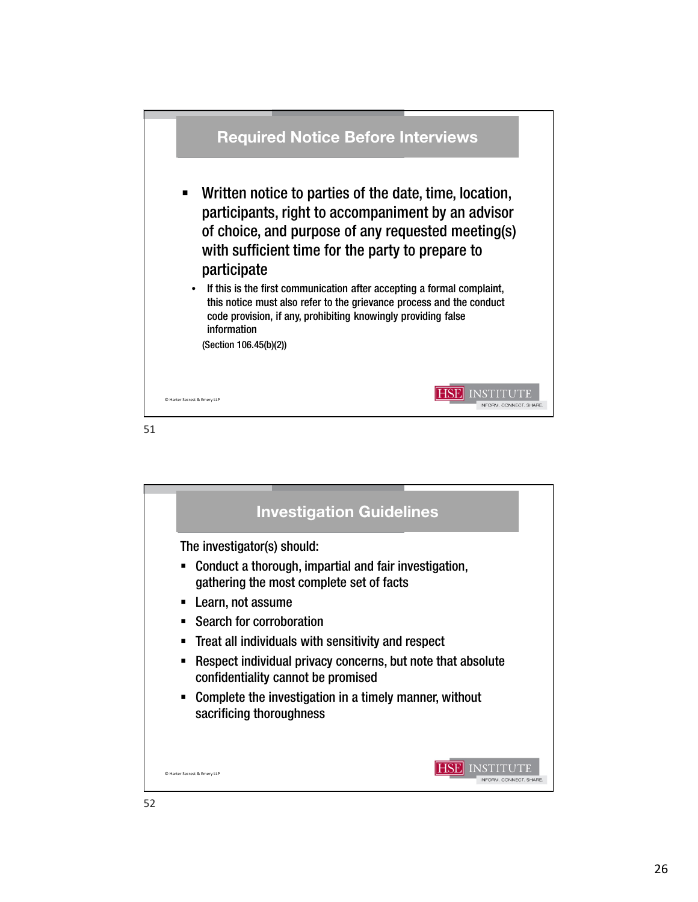

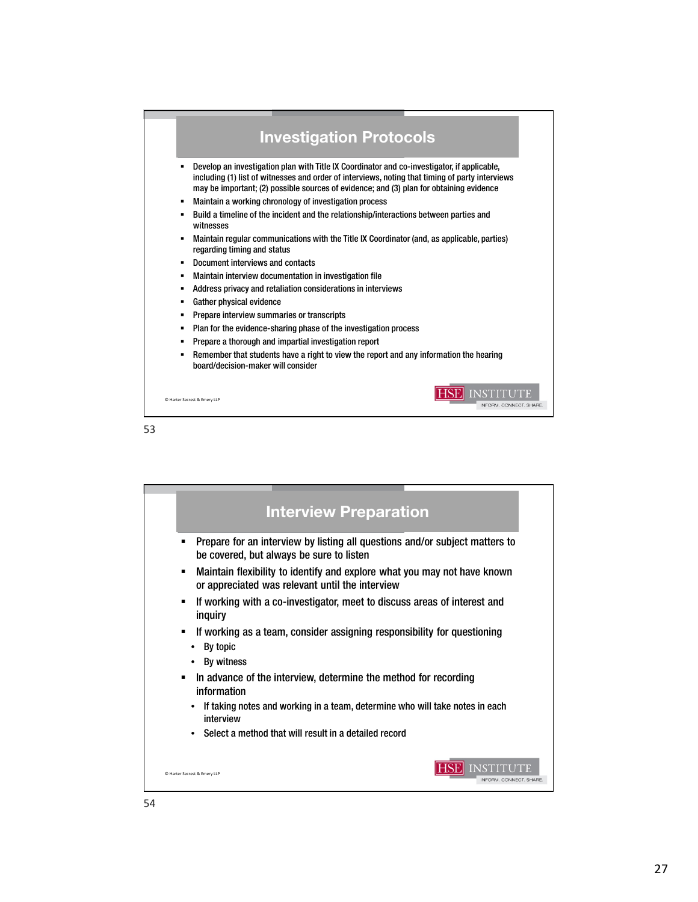

| <b>Interview Preparation</b>                                                                                                     |
|----------------------------------------------------------------------------------------------------------------------------------|
| Prepare for an interview by listing all questions and/or subject matters to<br>▪<br>be covered, but always be sure to listen     |
| Maintain flexibility to identify and explore what you may not have known<br>٠<br>or appreciated was relevant until the interview |
| If working with a co-investigator, meet to discuss areas of interest and<br>٠<br>inquiry                                         |
| If working as a team, consider assigning responsibility for questioning<br>$\blacksquare$<br>By topic<br>By witness              |
| In advance of the interview, determine the method for recording<br>٠<br>information                                              |
| If taking notes and working in a team, determine who will take notes in each<br>interview                                        |
| Select a method that will result in a detailed record<br>$\bullet$                                                               |
| C Harter Secrest & Emery LLP<br><b>INFORM, CONNECT, SHARE</b>                                                                    |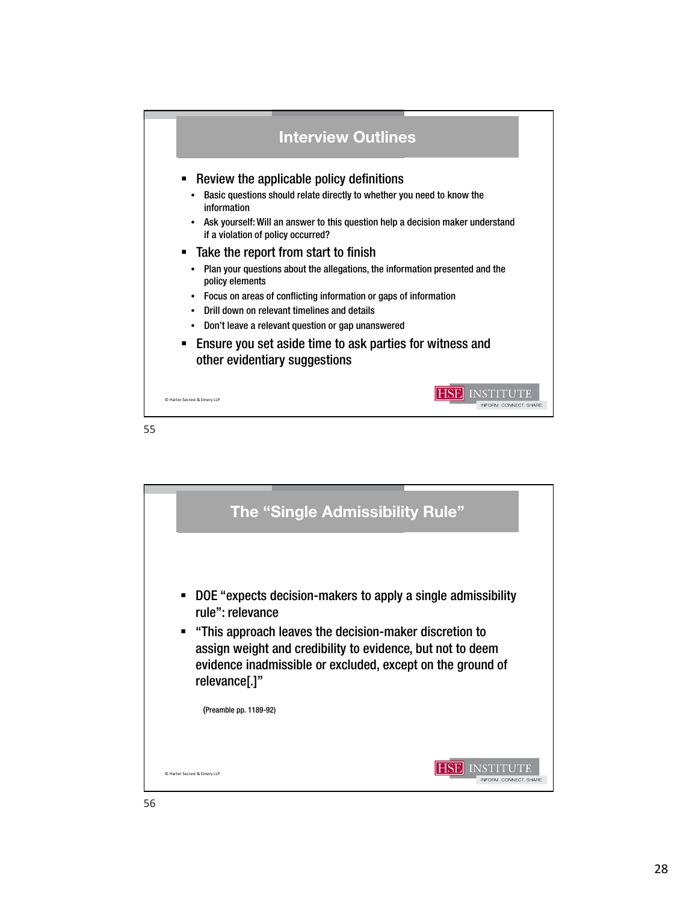



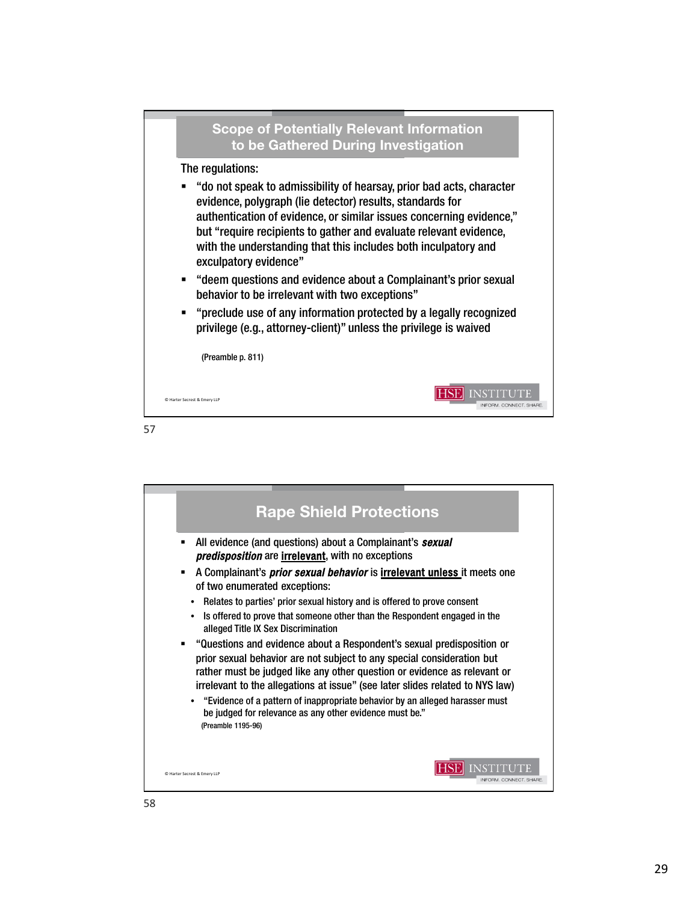

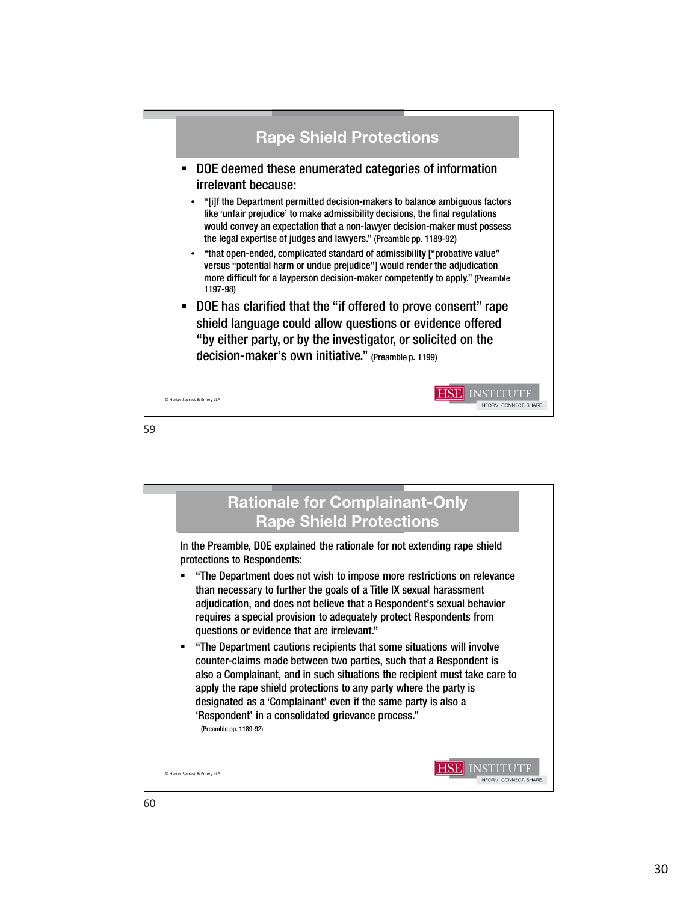

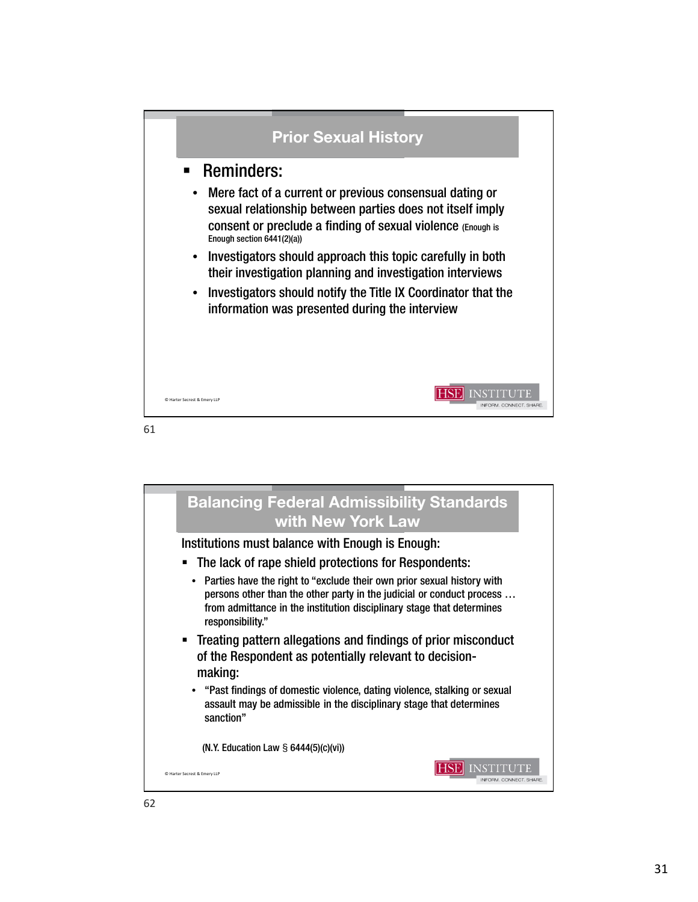

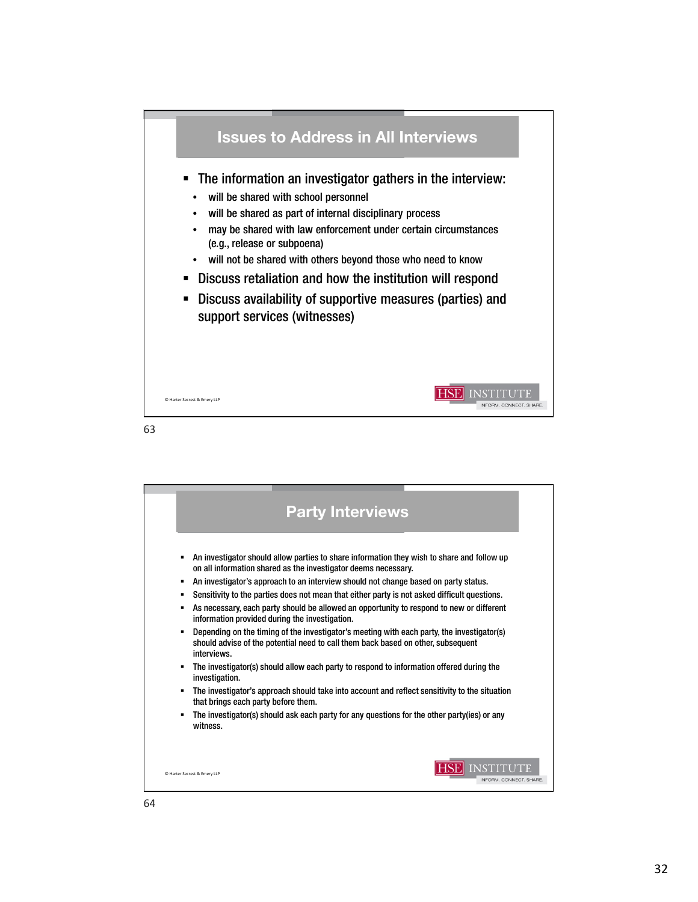

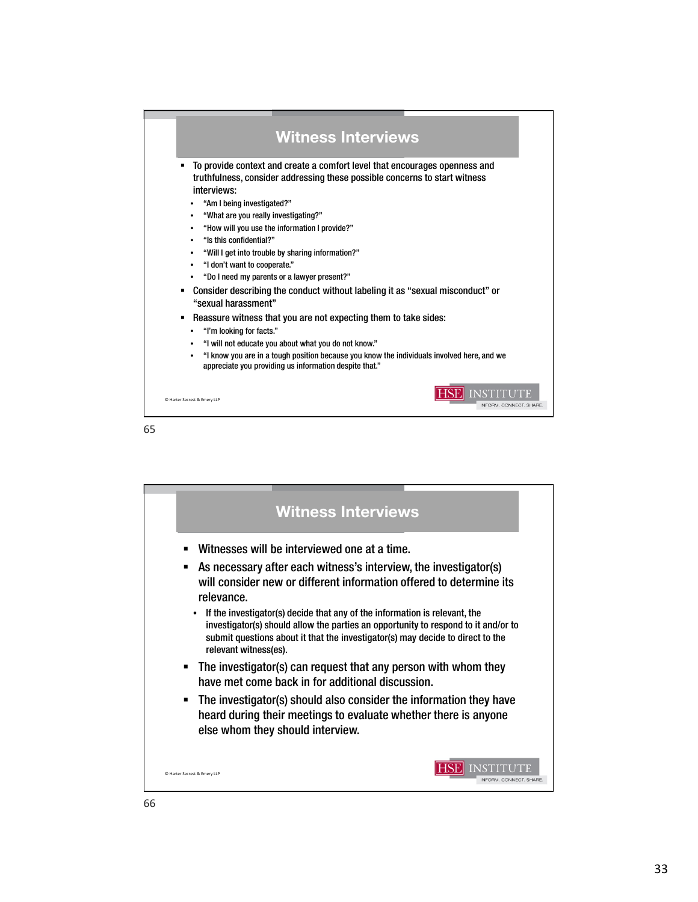

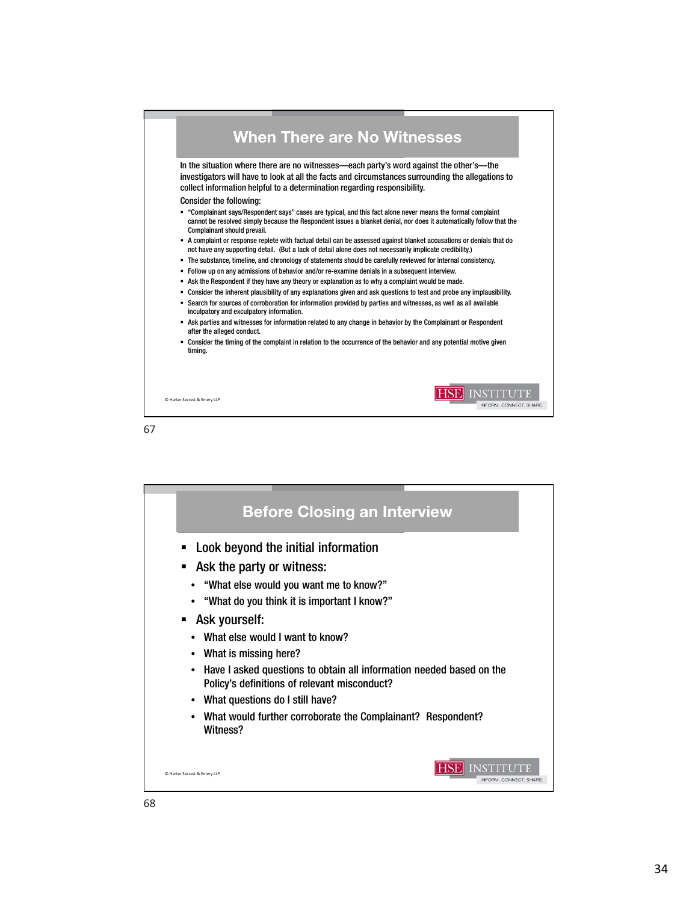



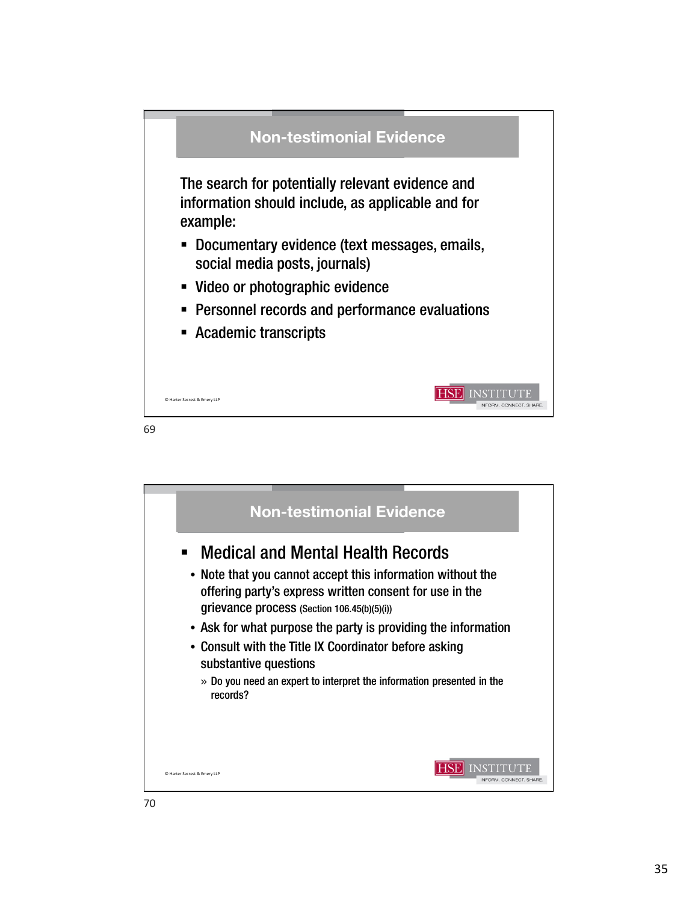

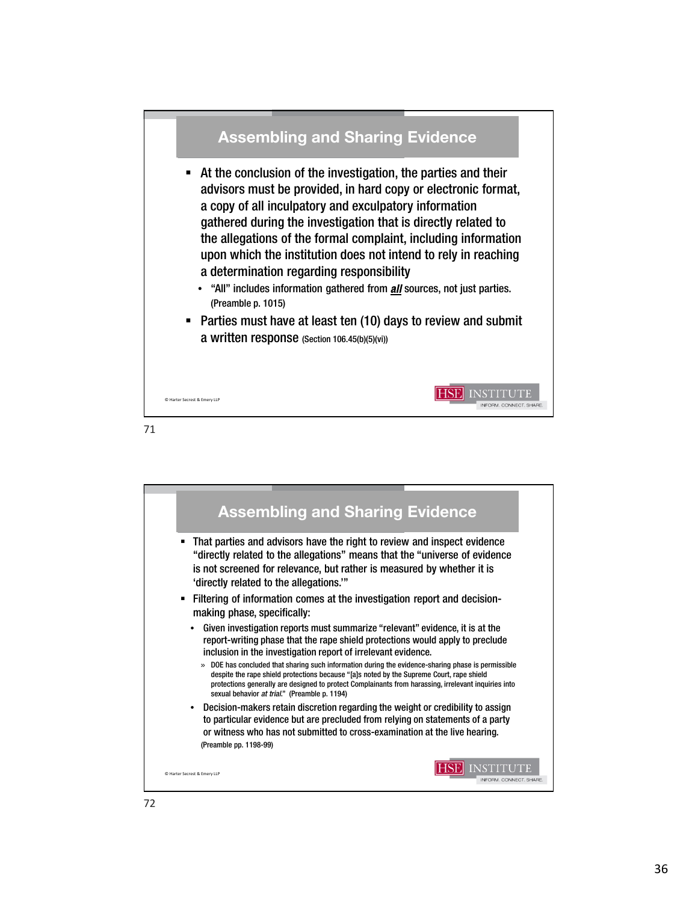

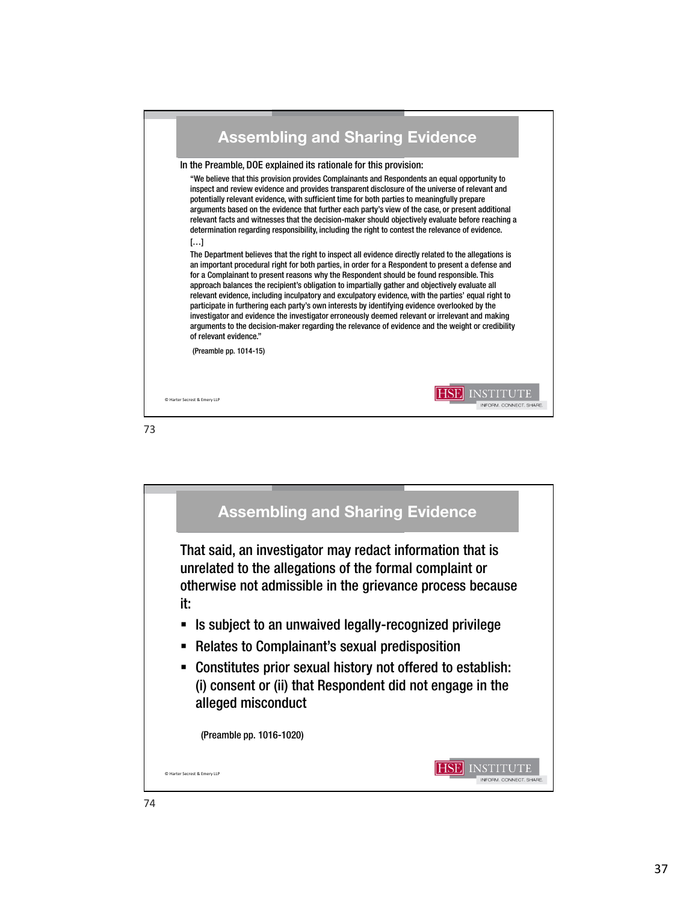

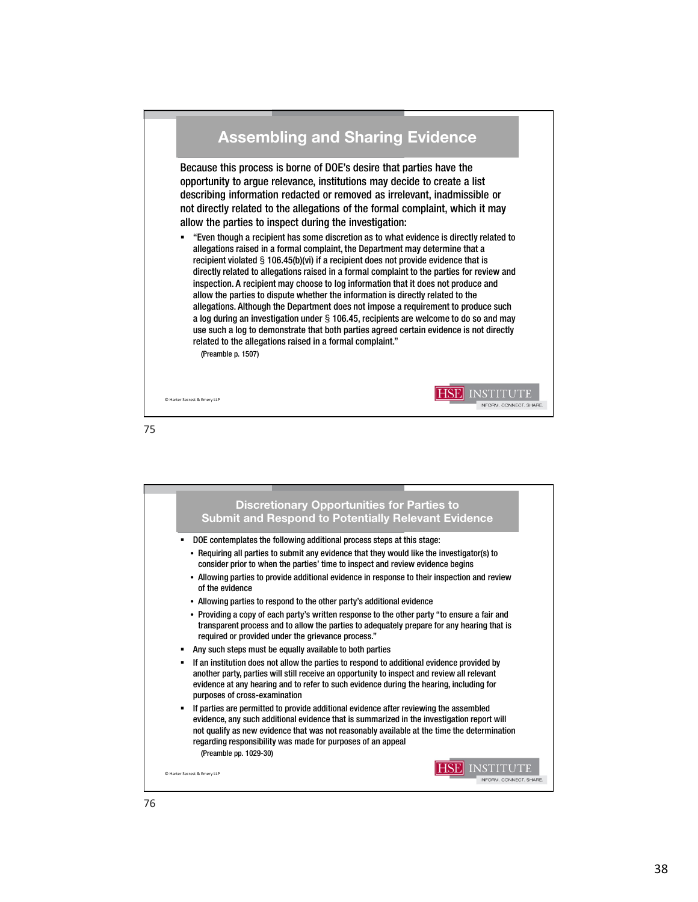

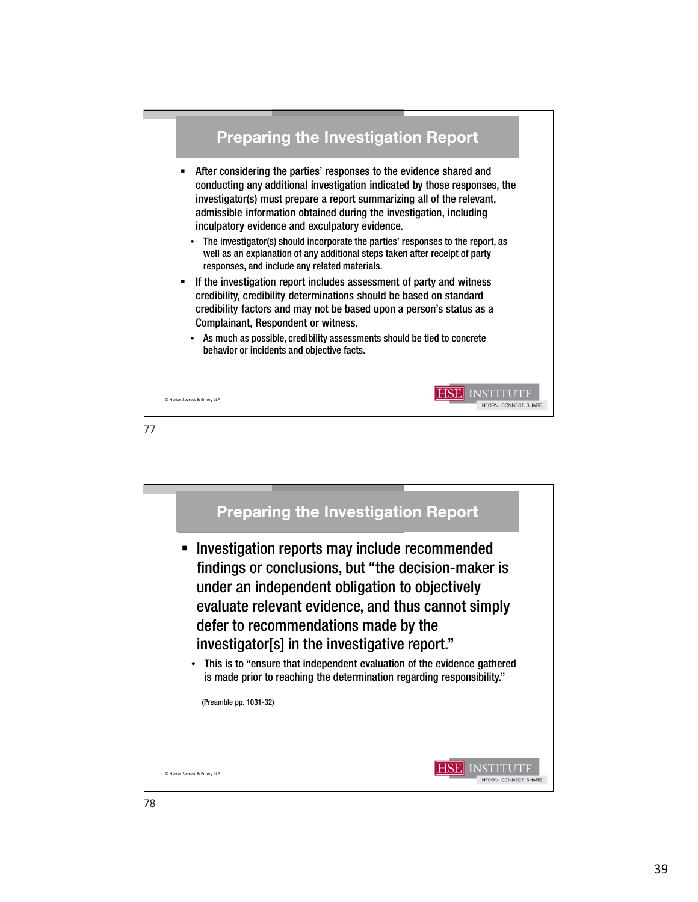



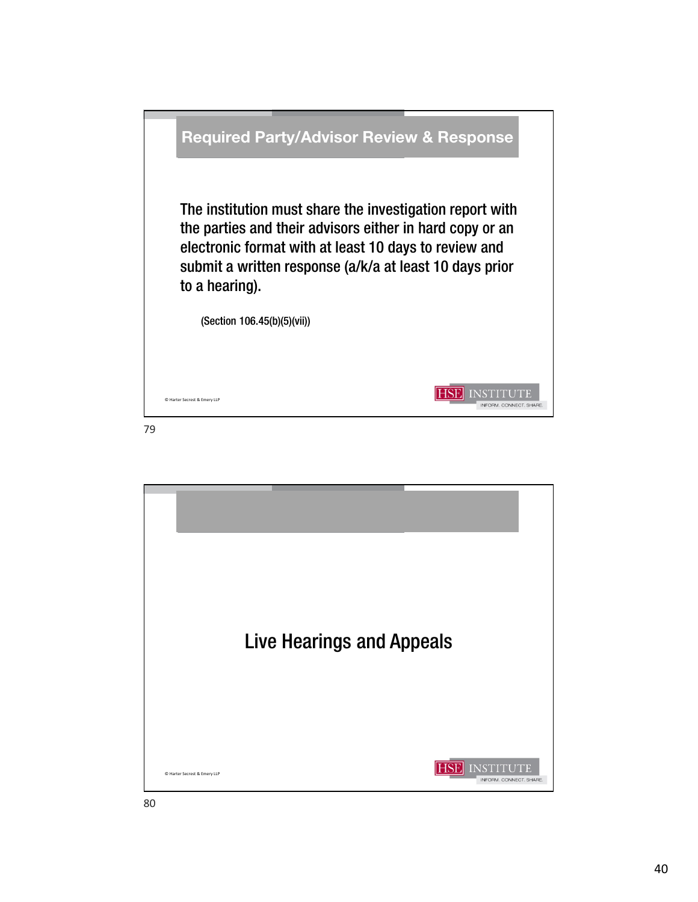

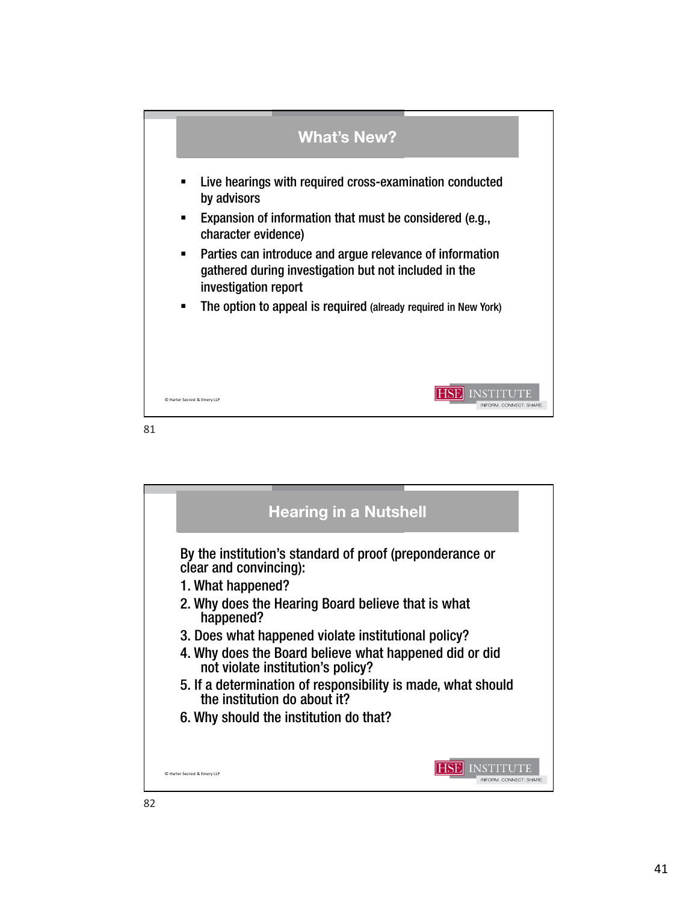

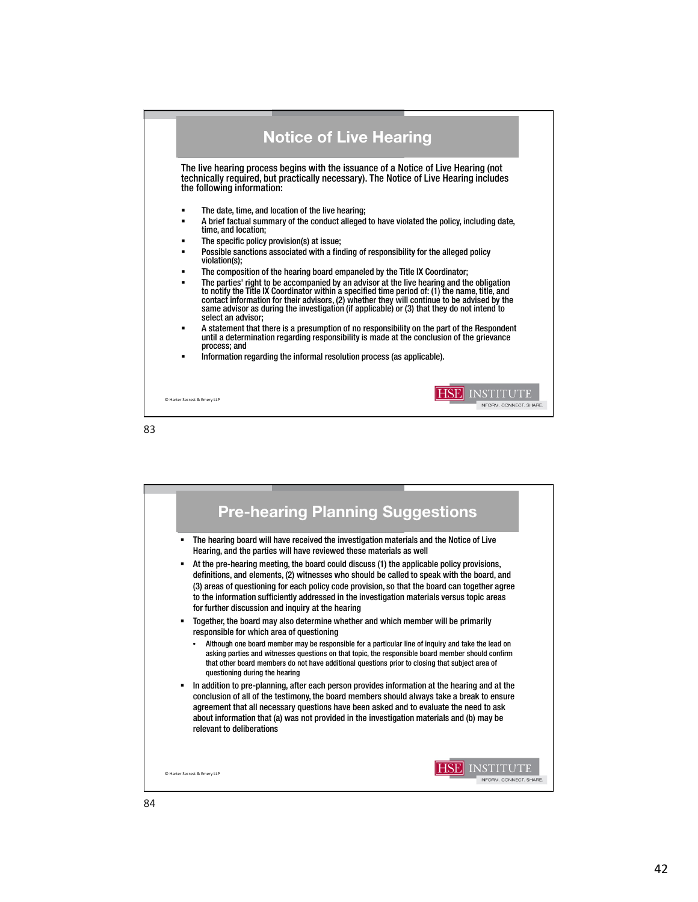

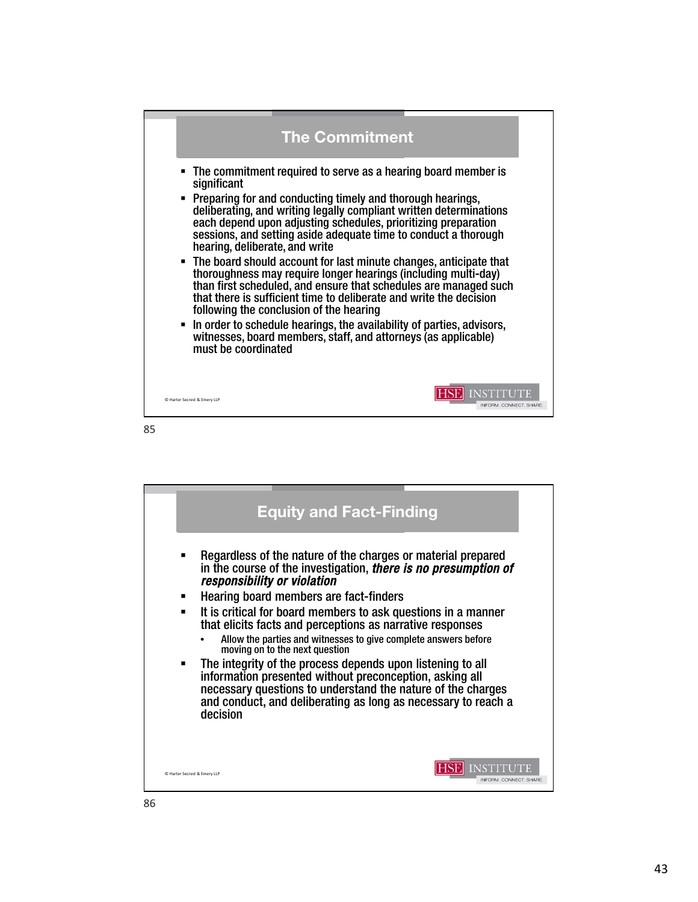

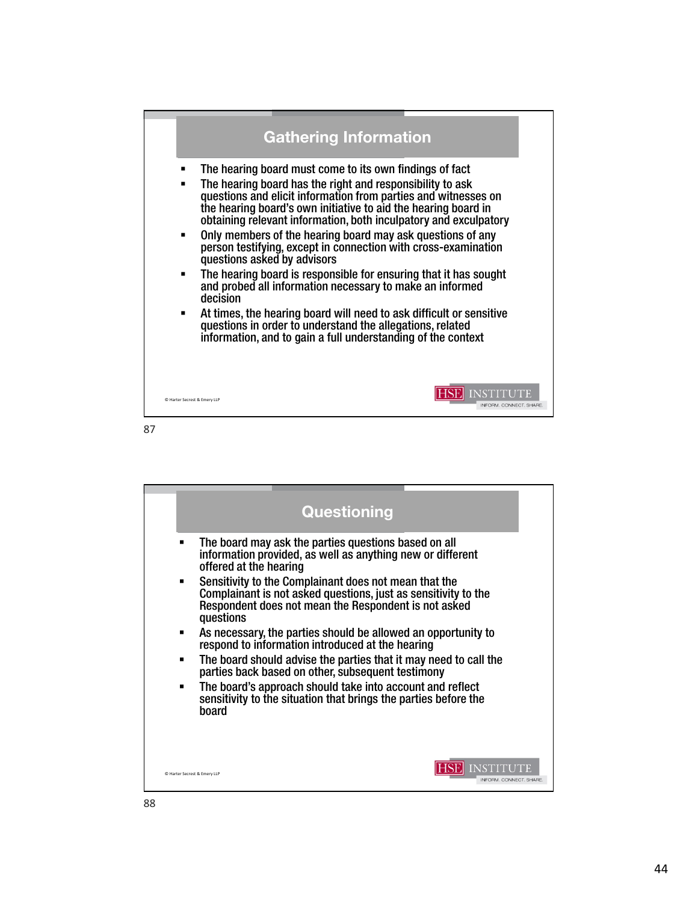

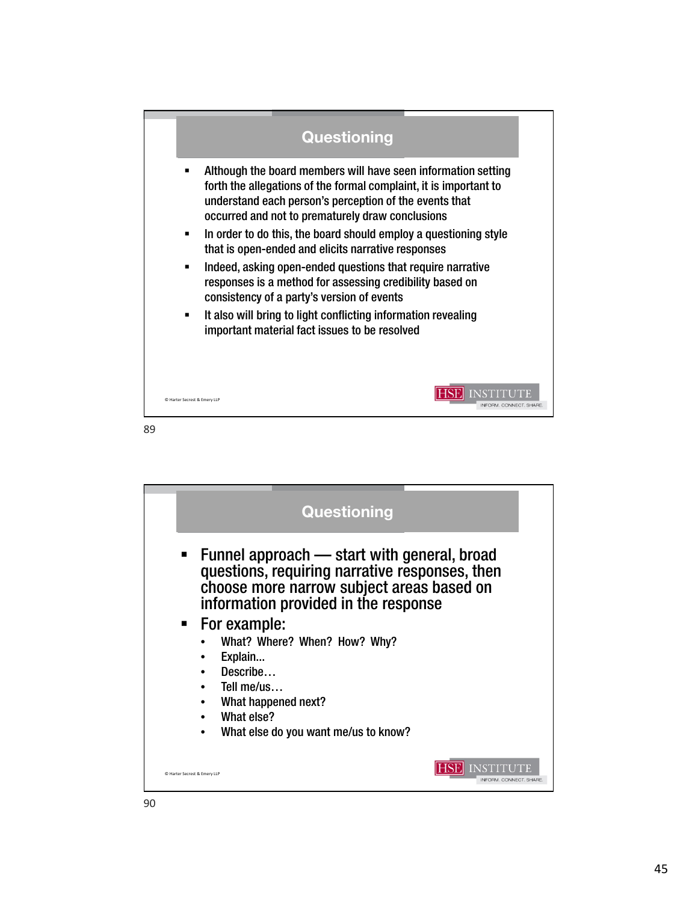

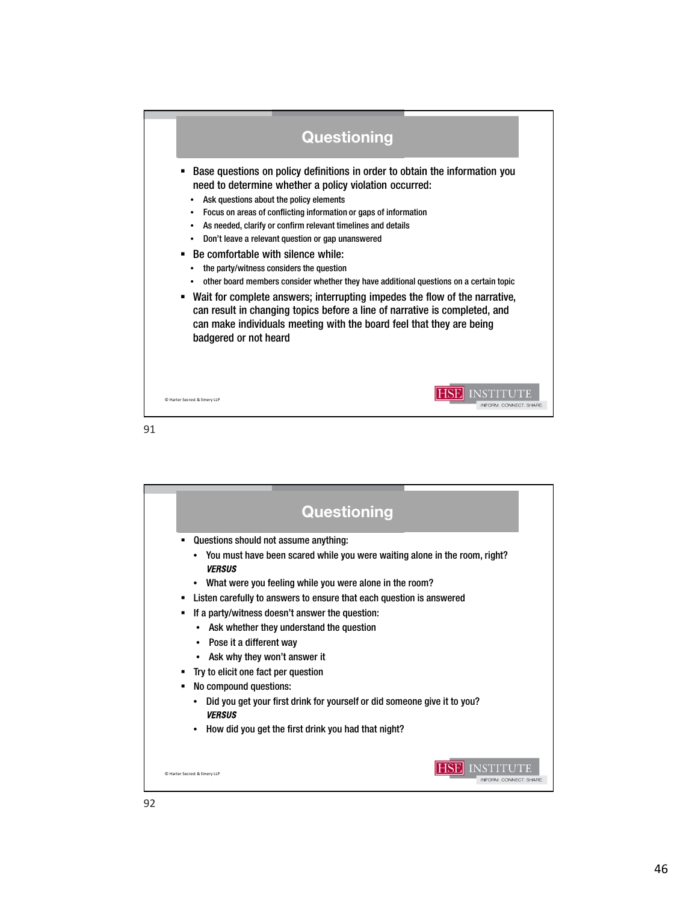

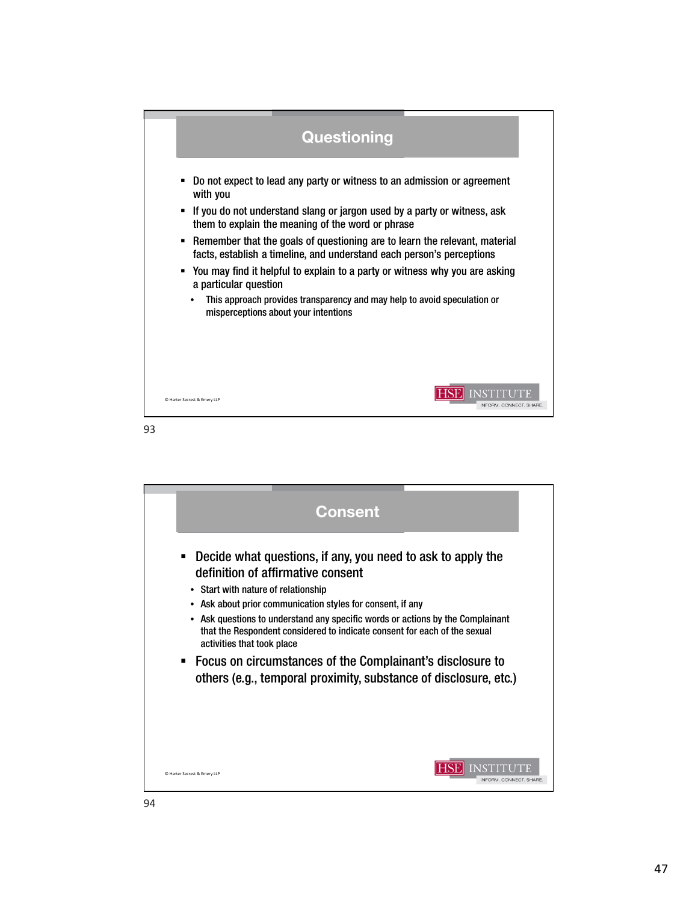

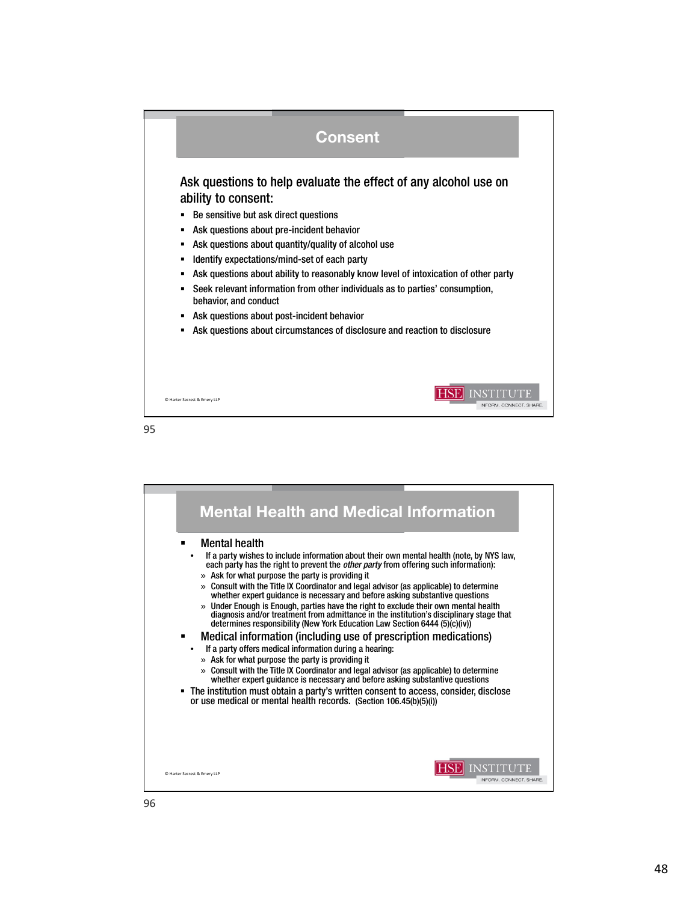

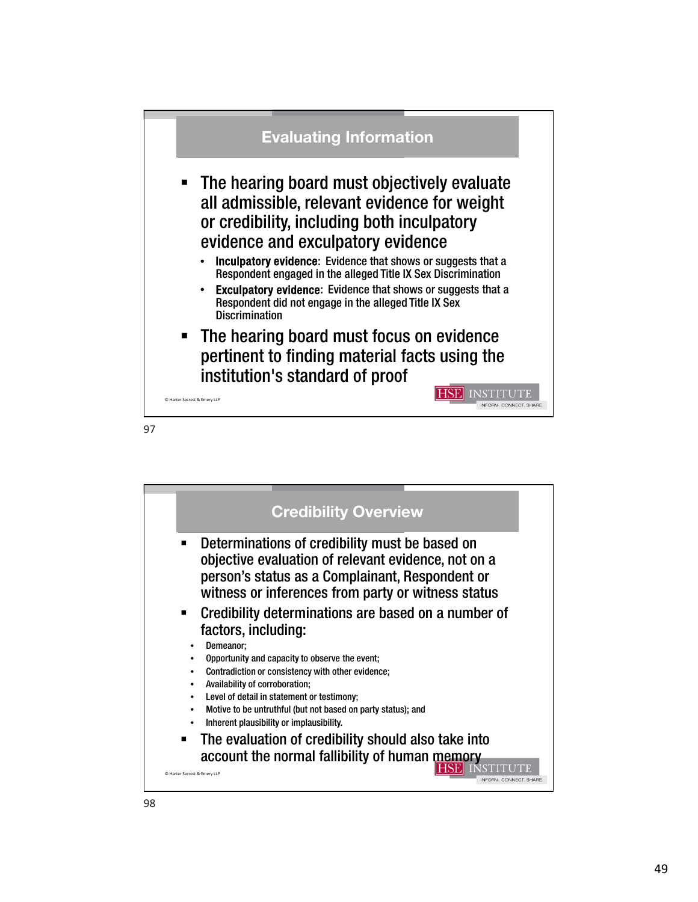

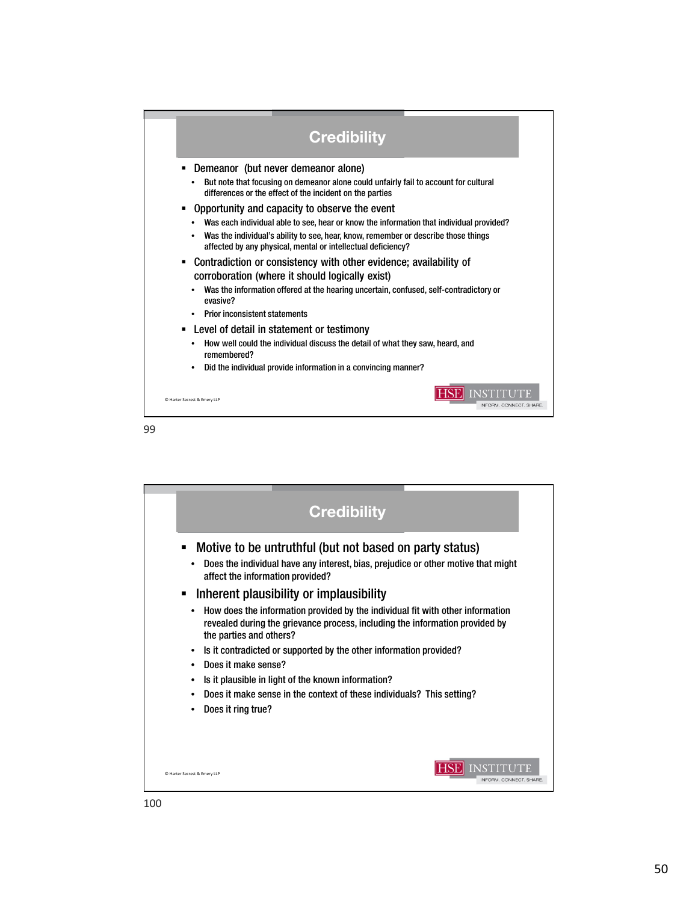

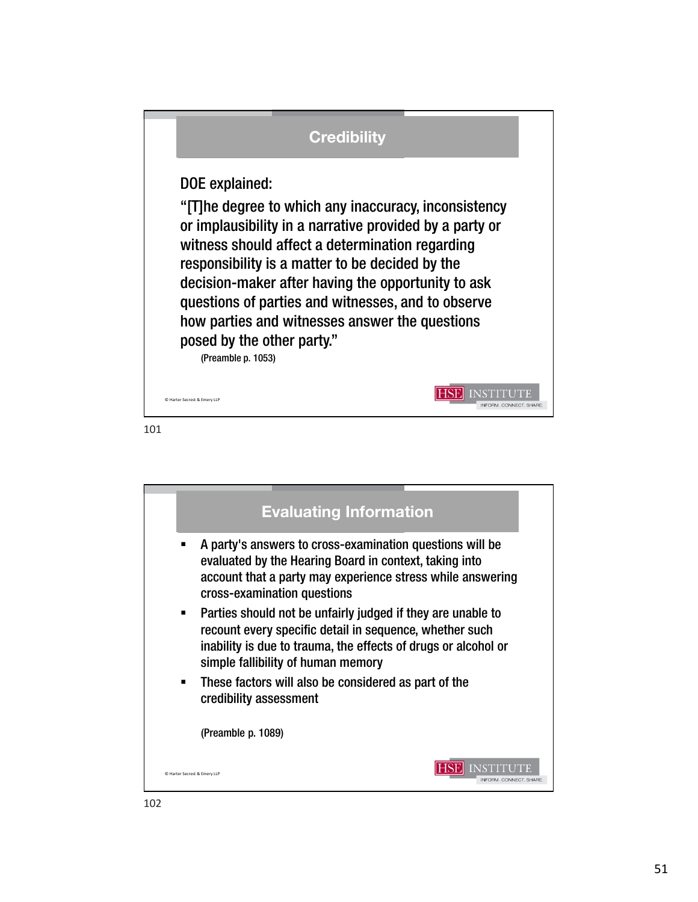

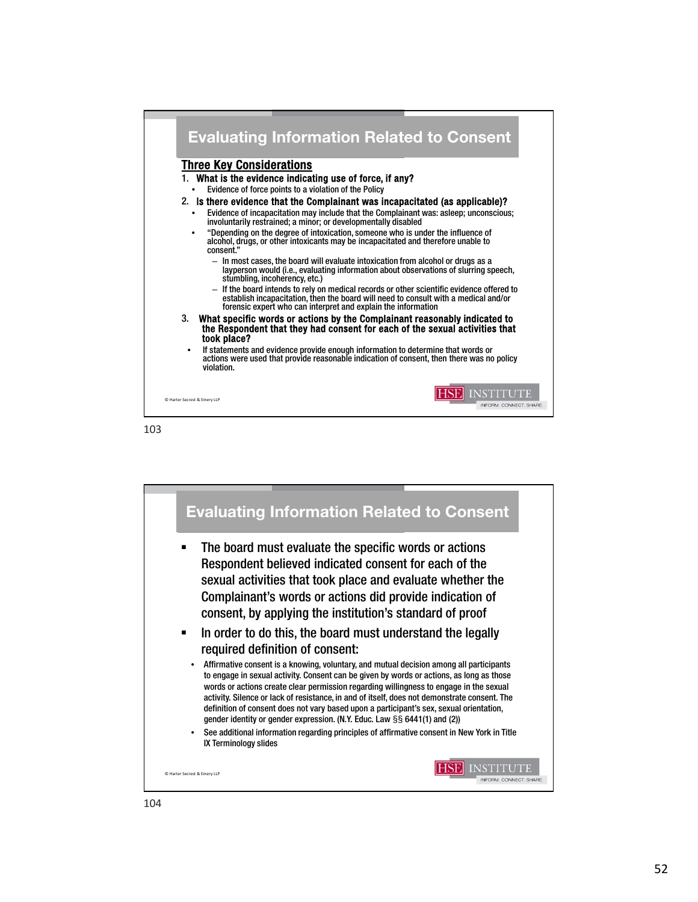

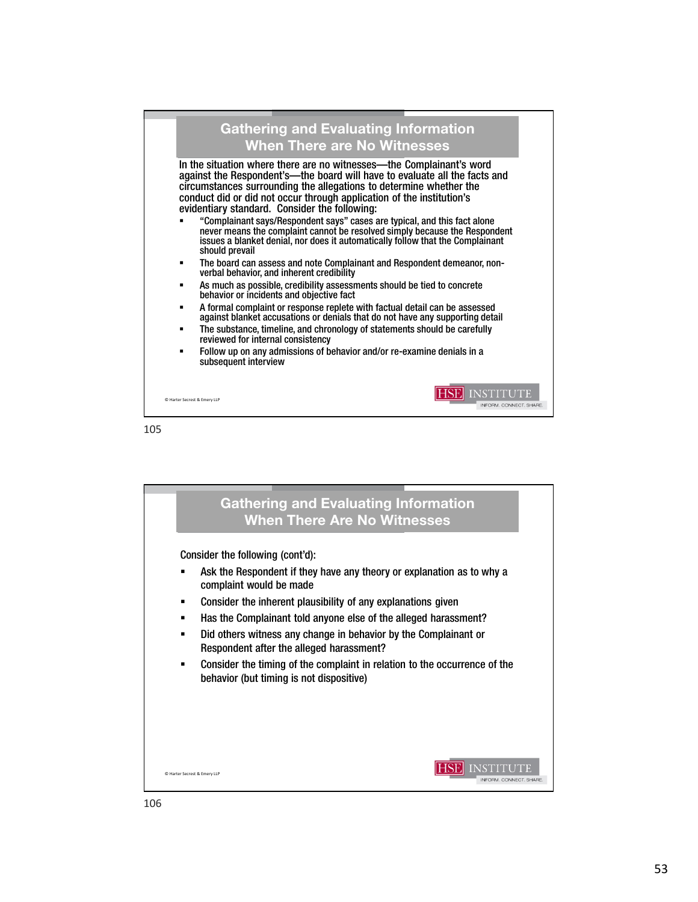

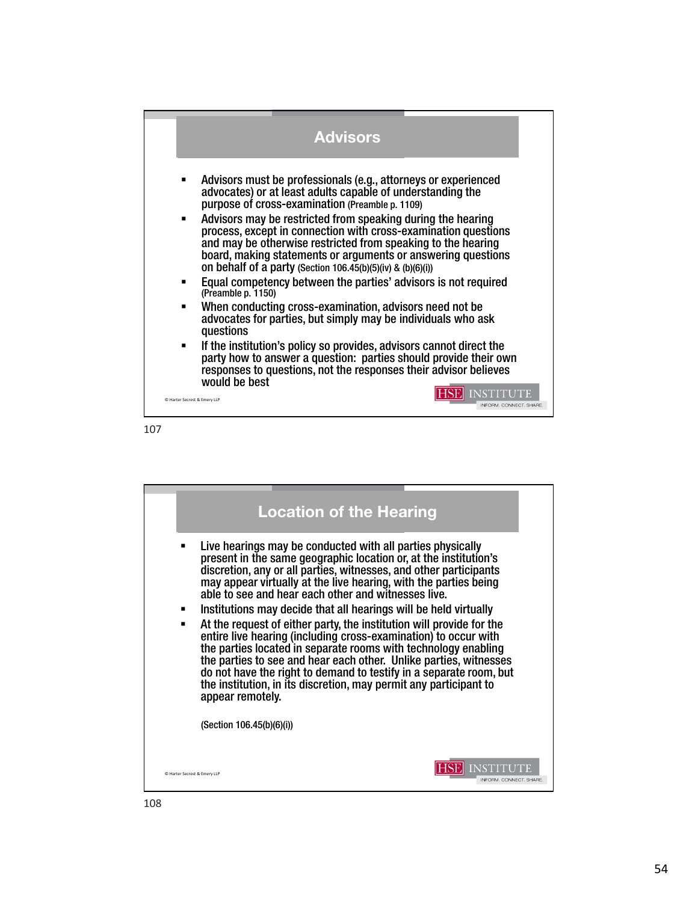

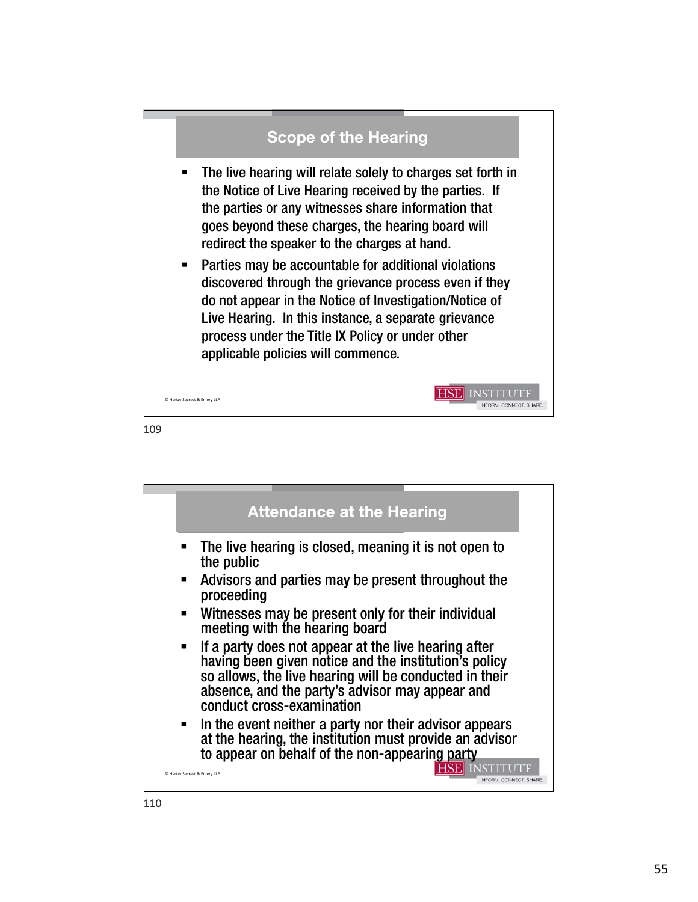

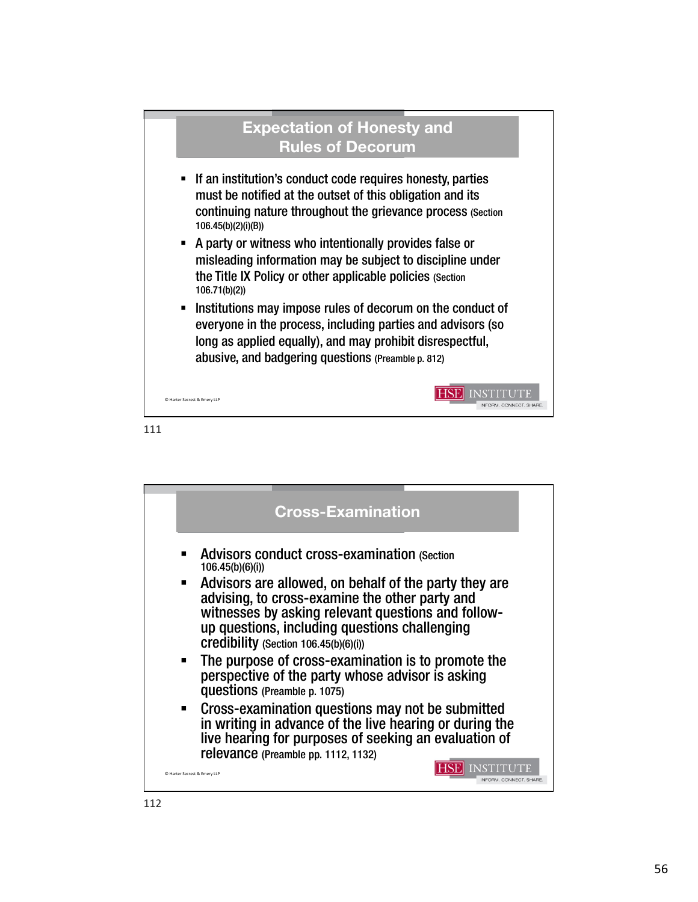

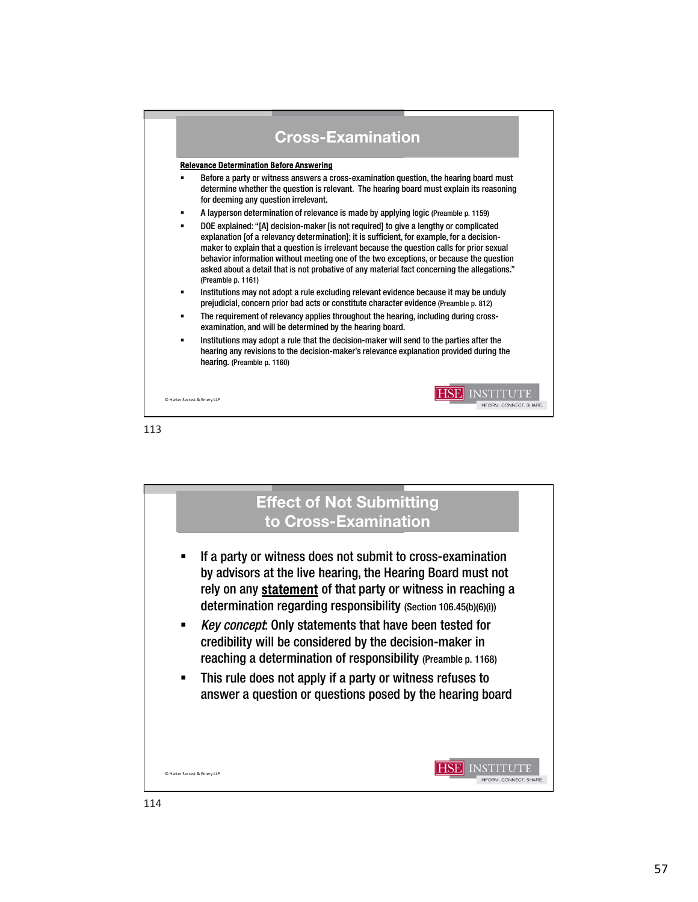

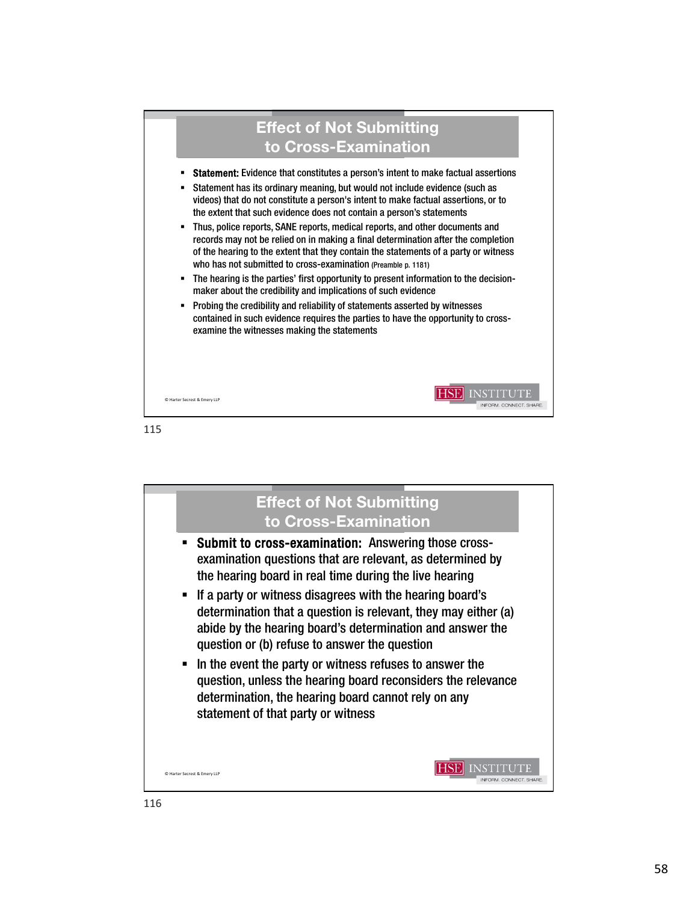

115

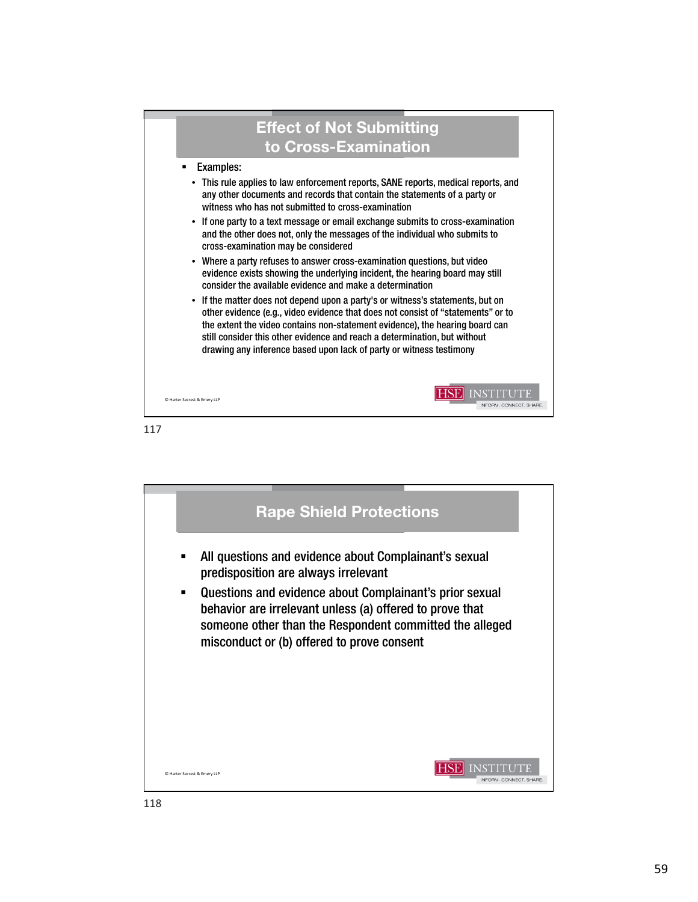

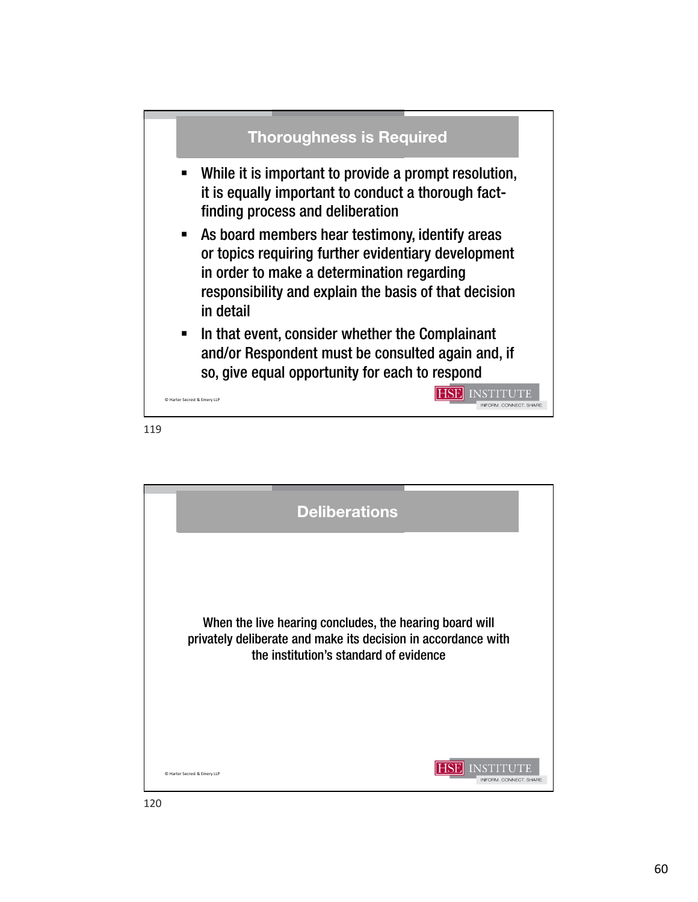

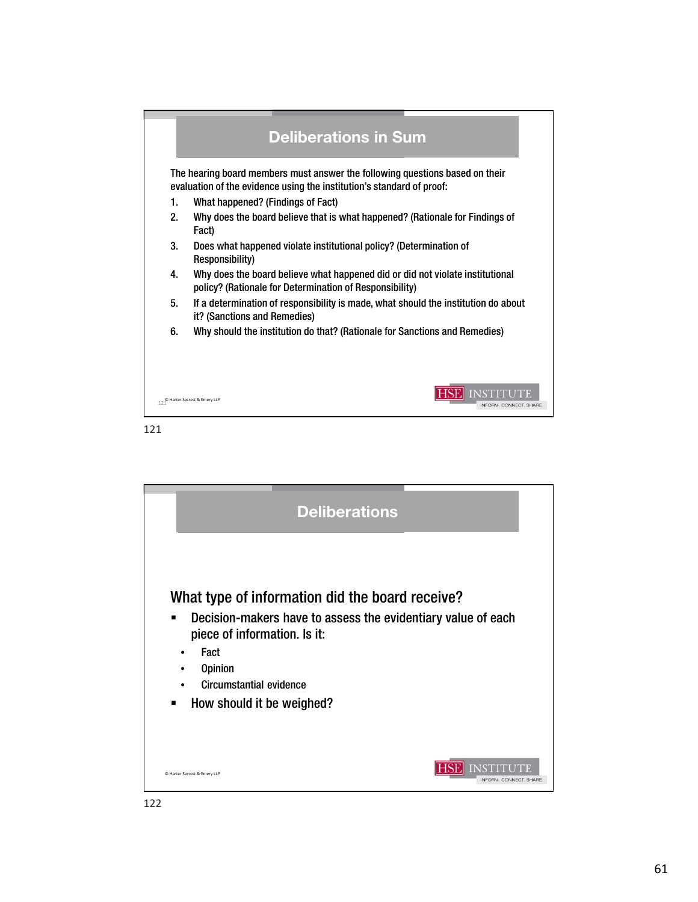

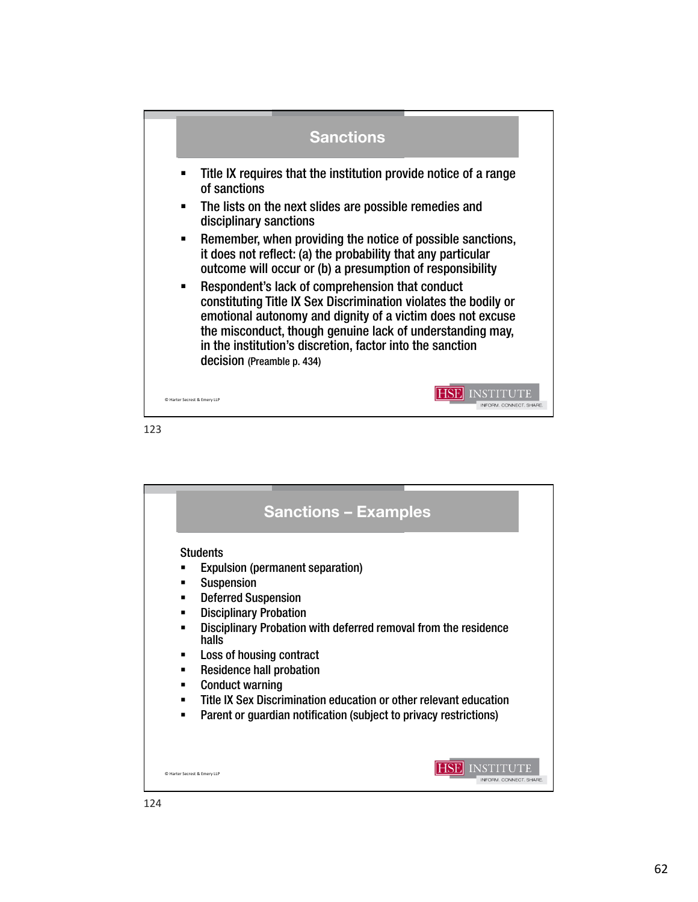

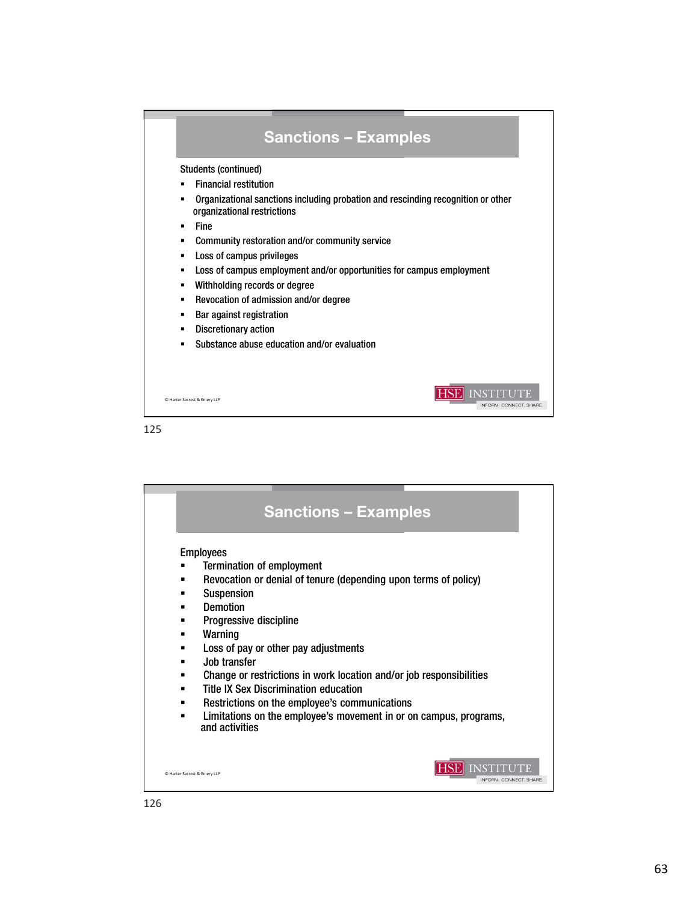

|             | <b>Sanctions - Examples</b>                                                                                                                                                                                                                                                                                                                                                                                                                                                                                          |
|-------------|----------------------------------------------------------------------------------------------------------------------------------------------------------------------------------------------------------------------------------------------------------------------------------------------------------------------------------------------------------------------------------------------------------------------------------------------------------------------------------------------------------------------|
| п<br>п<br>п | <b>Employees</b><br>Termination of employment<br>Revocation or denial of tenure (depending upon terms of policy)<br><b>Suspension</b><br><b>Demotion</b><br>Progressive discipline<br>Warning<br>Loss of pay or other pay adjustments<br>Job transfer<br>Change or restrictions in work location and/or job responsibilities<br><b>Title IX Sex Discrimination education</b><br>Restrictions on the employee's communications<br>Limitations on the employee's movement in or on campus, programs,<br>and activities |
|             | C Harter Secrest & Emery LLP<br>INFORM. CONNECT. SHARE                                                                                                                                                                                                                                                                                                                                                                                                                                                               |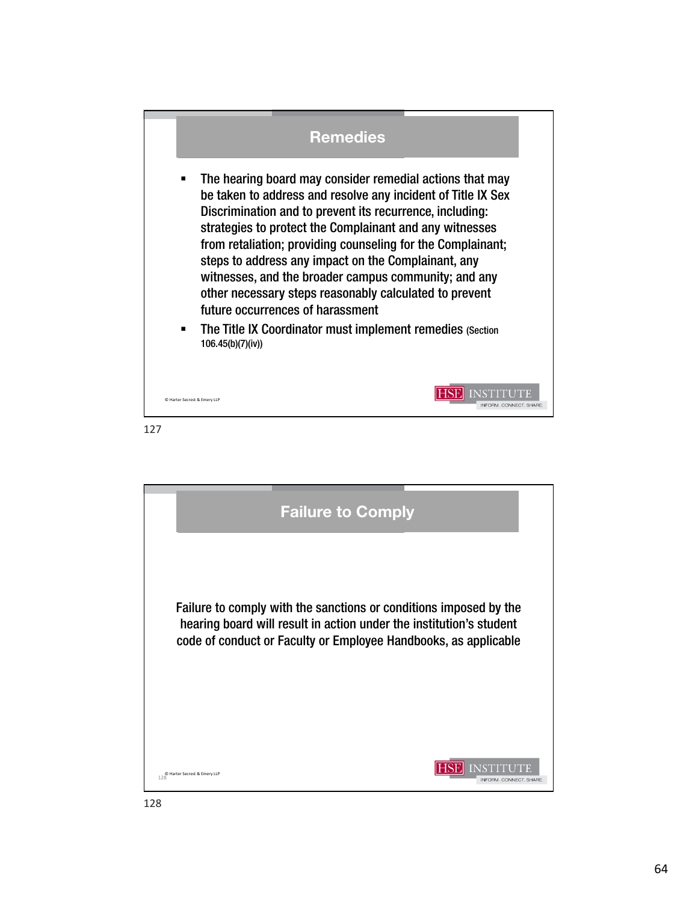## Remedies

- The hearing board may consider remedial actions that may be taken to address and resolve any incident of Title IX Sex Discrimination and to prevent its recurrence, including: strategies to protect the Complainant and any witnesses from retaliation; providing counseling for the Complainant; steps to address any impact on the Complainant, any witnesses, and the broader campus community; and any other necessary steps reasonably calculated to prevent future occurrences of harassment
- **The Title IX Coordinator must implement remedies (Section** 106.45(b)(7)(iv))

**HSE** INSTITUTE

INFORM, CONNECT, SHARE

© Harter Secrest & Emery LLP

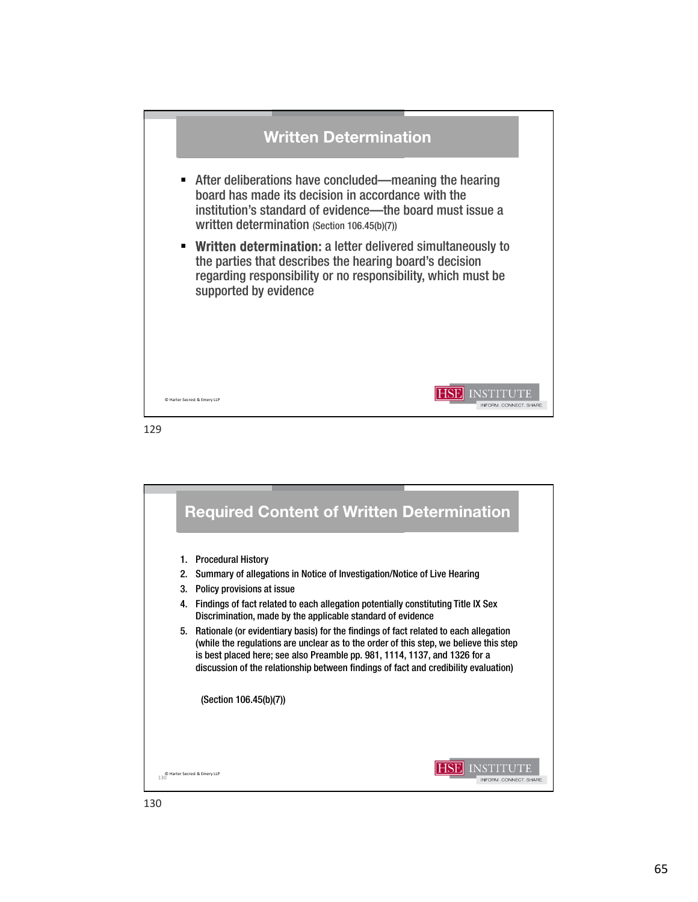

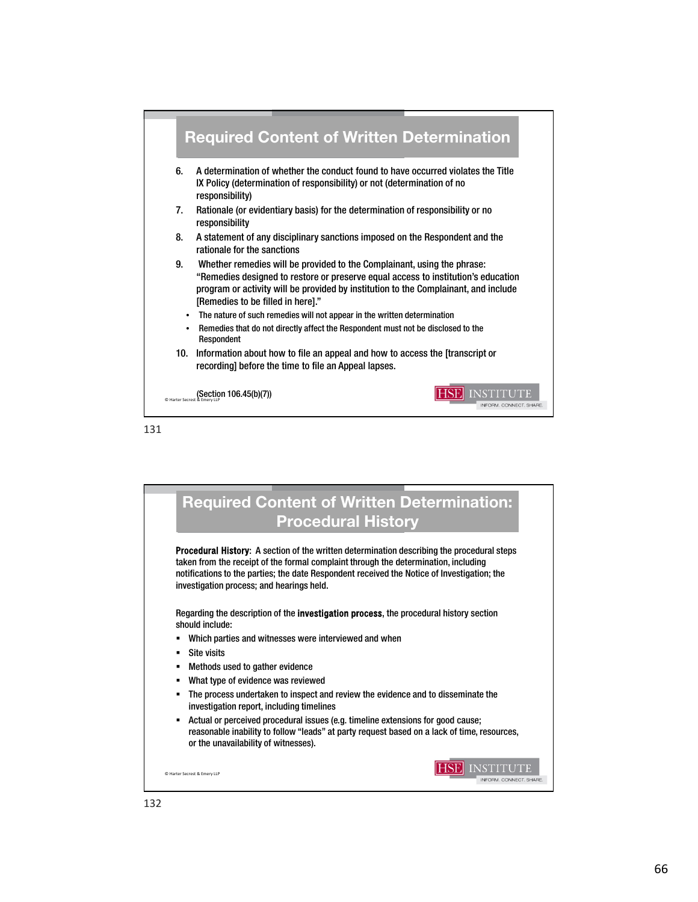

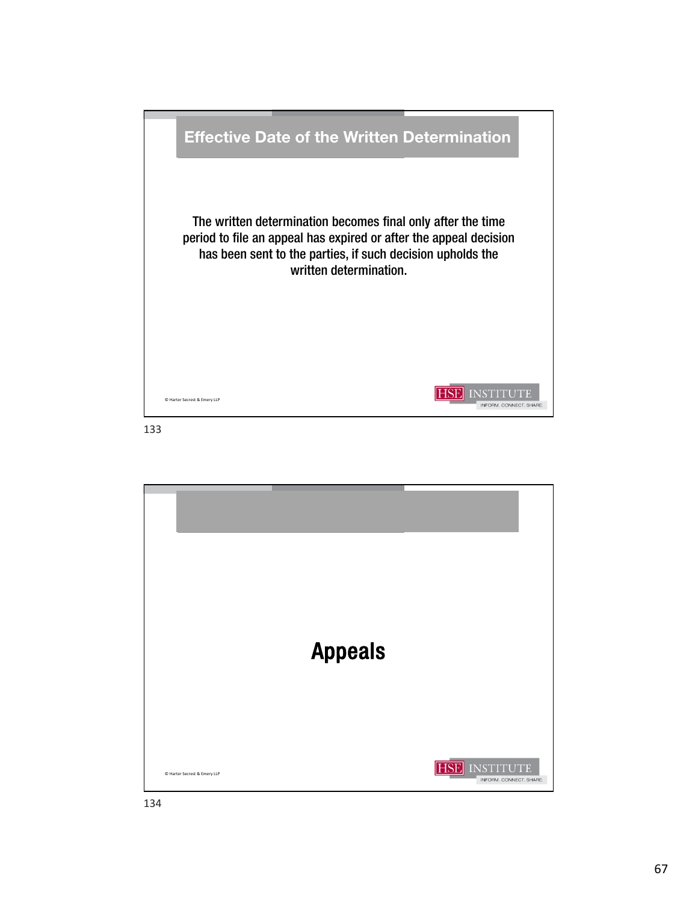

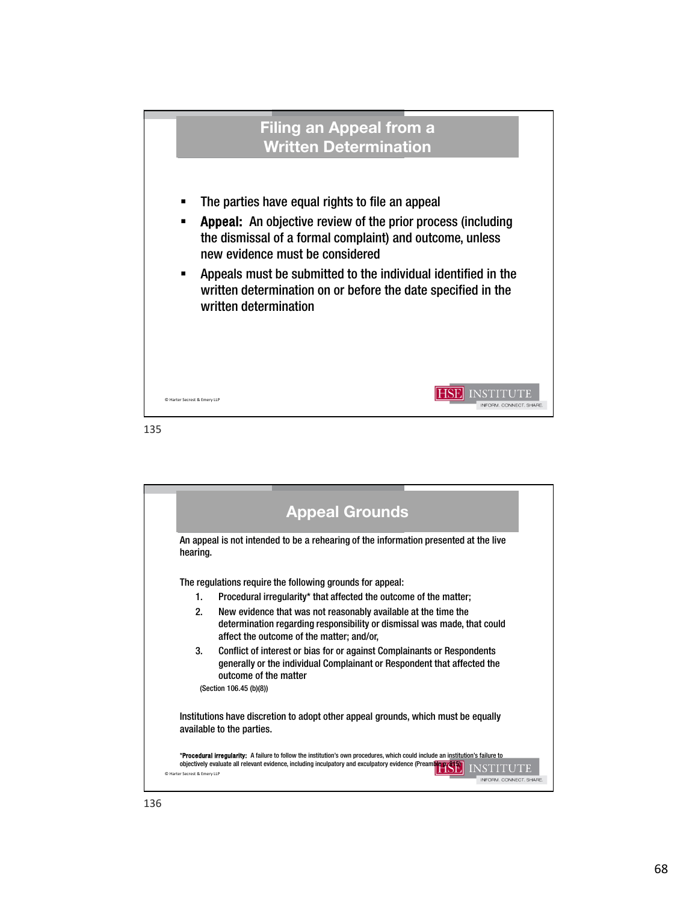

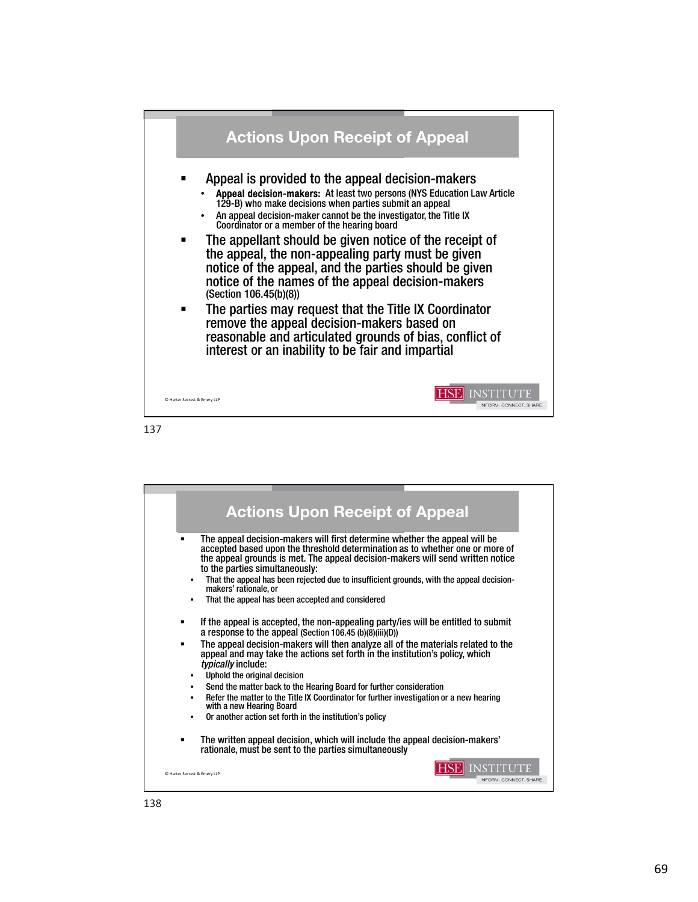

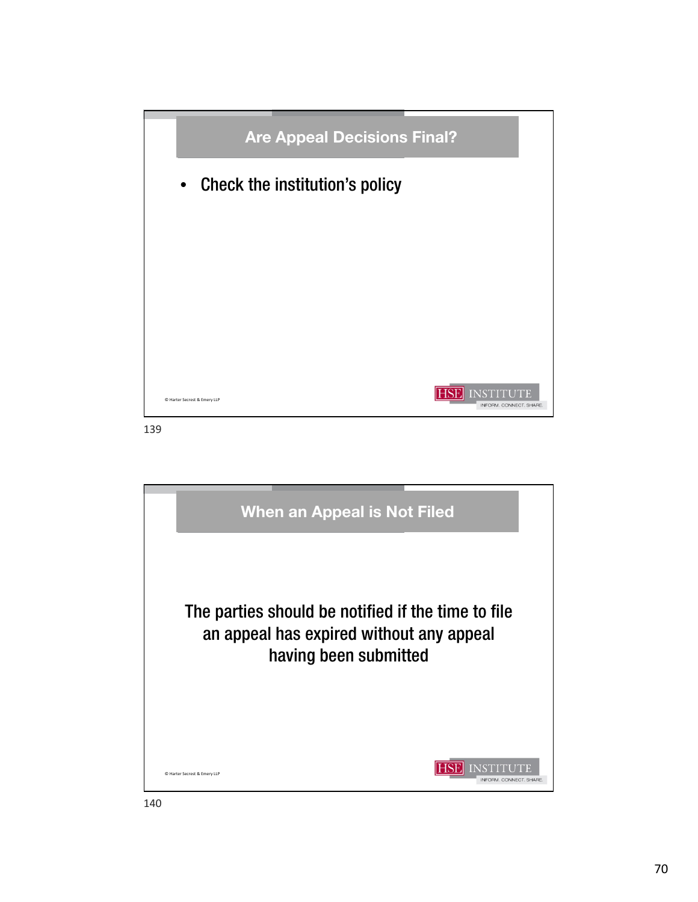

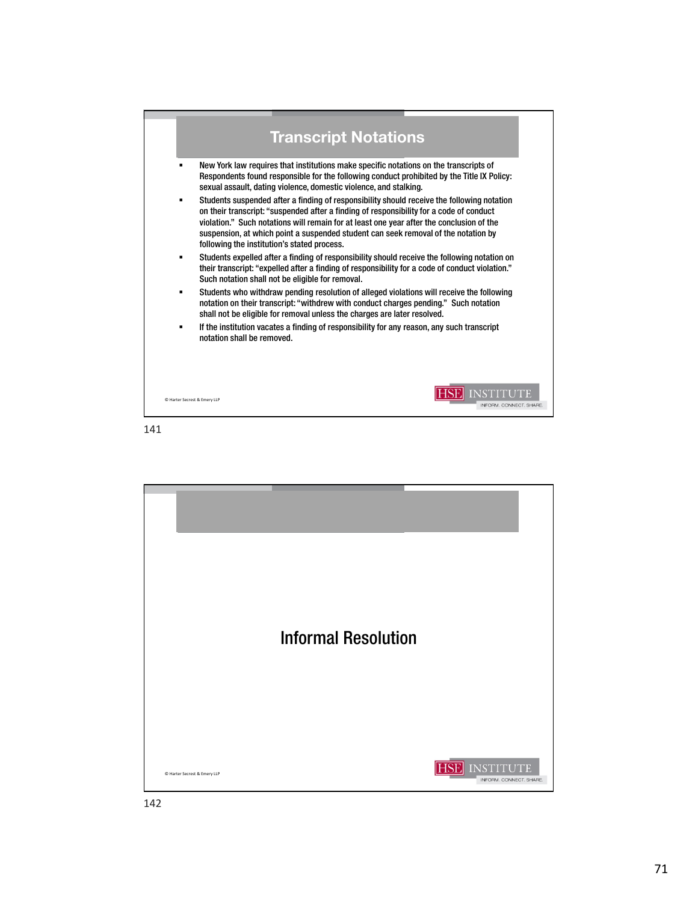

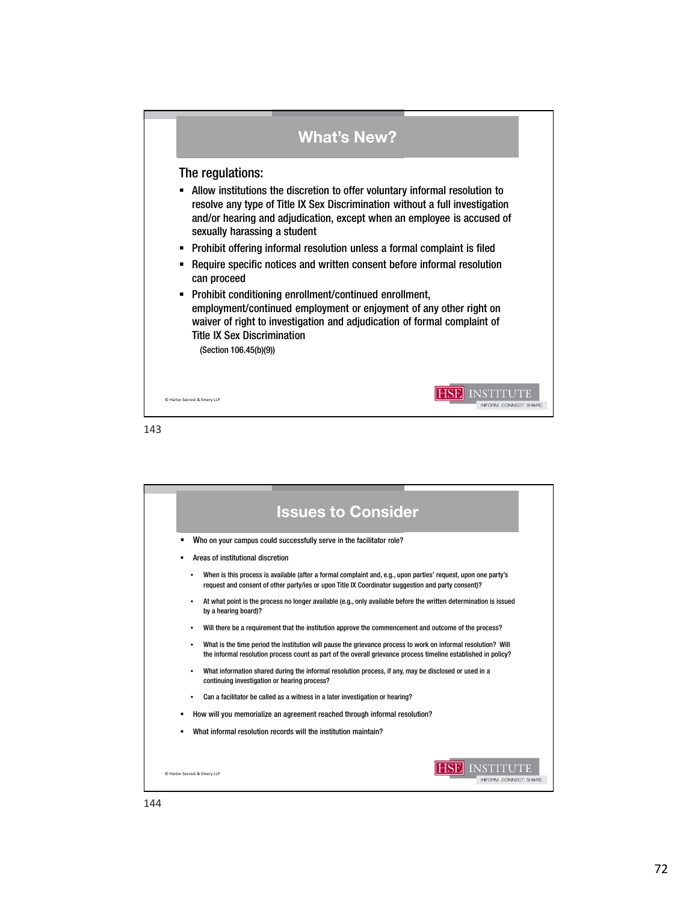

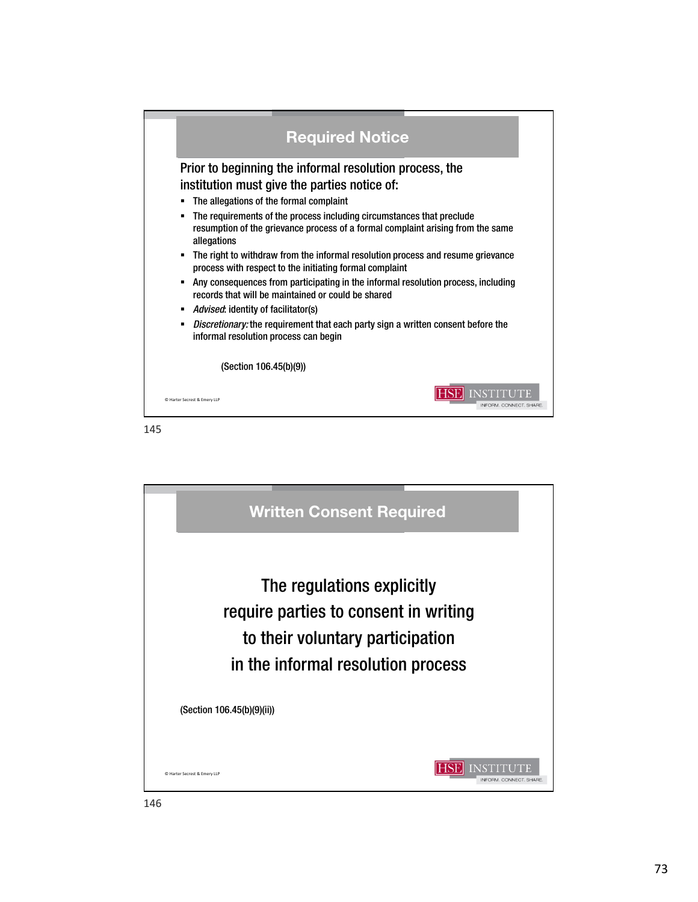| <b>Required Notice</b>                                                                                                                                                                    |  |
|-------------------------------------------------------------------------------------------------------------------------------------------------------------------------------------------|--|
| Prior to beginning the informal resolution process, the                                                                                                                                   |  |
| institution must give the parties notice of:                                                                                                                                              |  |
| The allegations of the formal complaint<br>٠                                                                                                                                              |  |
| The requirements of the process including circumstances that preclude<br>$\blacksquare$<br>resumption of the grievance process of a formal complaint arising from the same<br>allegations |  |
| The right to withdraw from the informal resolution process and resume grievance<br>$\blacksquare$<br>process with respect to the initiating formal complaint                              |  |
| Any consequences from participating in the informal resolution process, including<br>$\blacksquare$<br>records that will be maintained or could be shared                                 |  |
| <i>Advised:</i> identity of facilitator(s)<br>٠                                                                                                                                           |  |
| Discretionary: the requirement that each party sign a written consent before the<br>٠<br>informal resolution process can begin                                                            |  |
| (Section 106.45(b)(9))                                                                                                                                                                    |  |
| <b>INSTITUTE</b><br>C Harter Secrest & Emery LLP<br>INFORM. CONNECT. SHARE                                                                                                                |  |

145

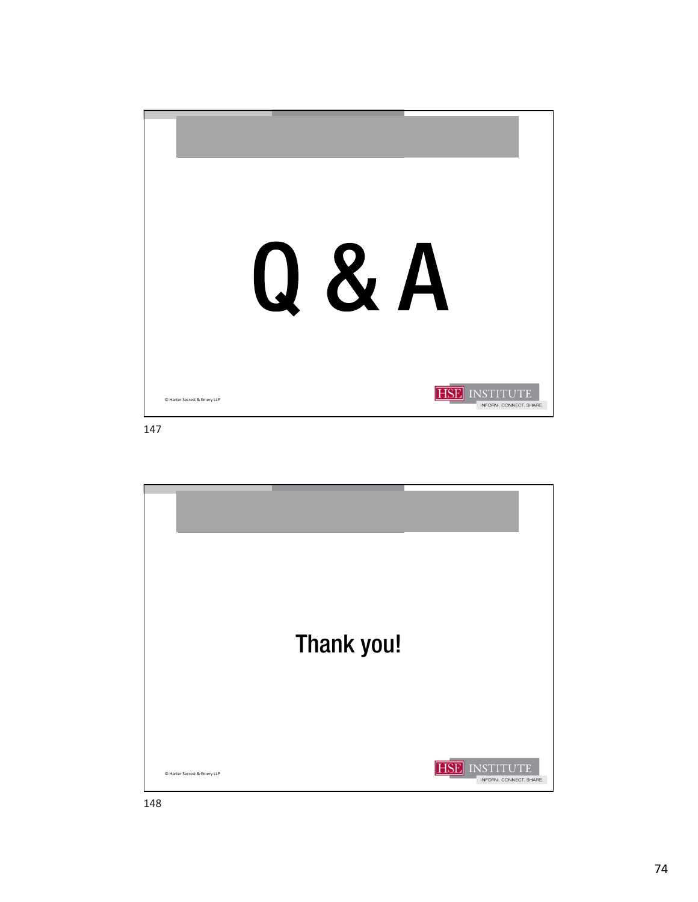

147